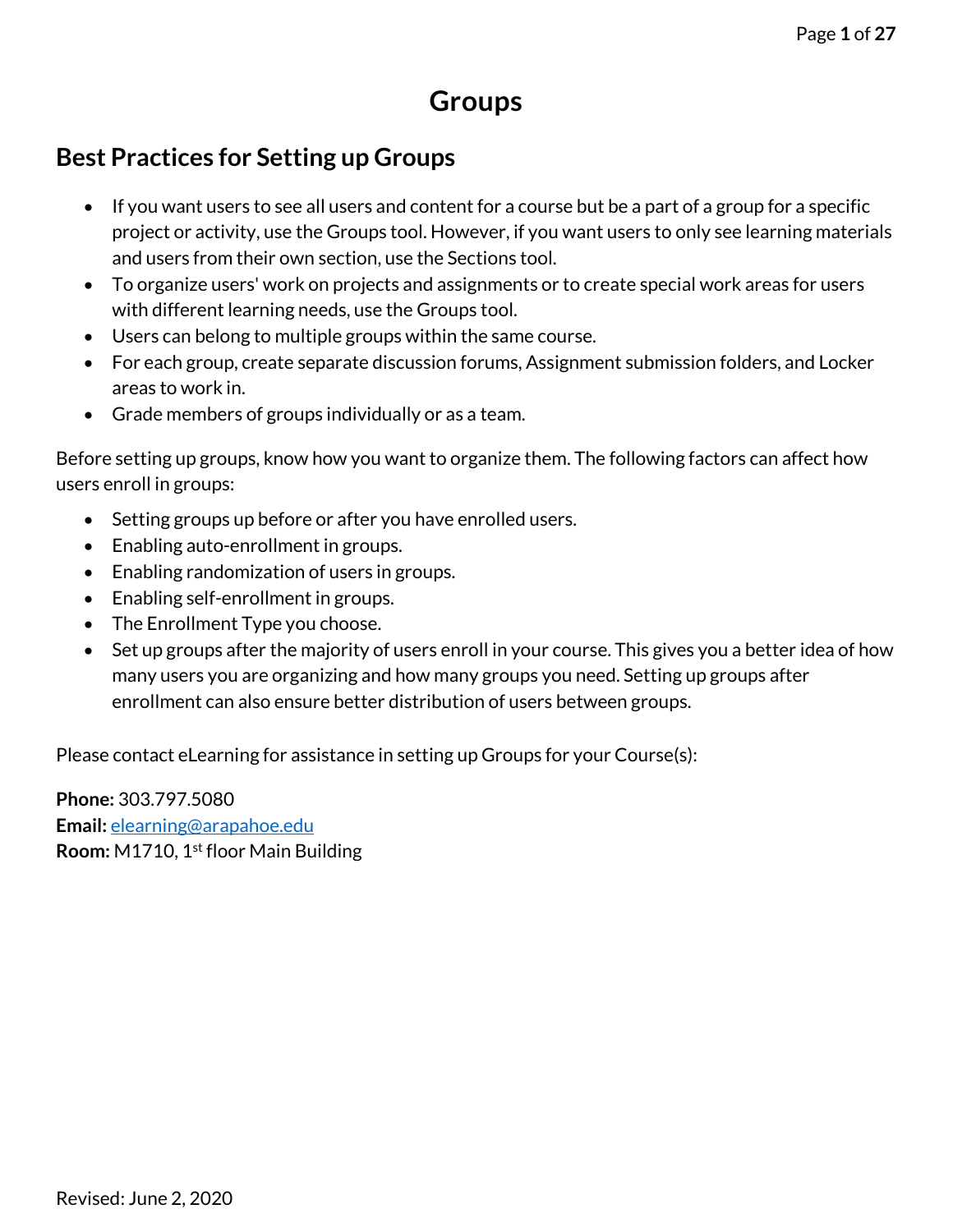## **Groups**

### <span id="page-0-1"></span><span id="page-0-0"></span>**Best Practices for Setting up Groups**

- If you want users to see all users and content for a course but be a part of a group for a specific project or activity, use the Groups tool. However, if you want users to only see learning materials and users from their own section, use the Sections tool.
- To organize users' work on projects and assignments or to create special work areas for users with different learning needs, use the Groups tool.
- Users can belong to multiple groups within the same course.
- For each group, create separate discussion forums, Assignment submission folders, and Locker areas to work in.
- Grade members of groups individually or as a team.

Before setting up groups, know how you want to organize them. The following factors can affect how users enroll in groups:

- Setting groups up before or after you have enrolled users.
- Enabling auto-enrollment in groups.
- Enabling randomization of users in groups.
- Enabling self-enrollment in groups.
- The Enrollment Type you choose.
- Set up groups after the majority of users enroll in your course. This gives you a better idea of how many users you are organizing and how many groups you need. Setting up groups after enrollment can also ensure better distribution of users between groups.

Please contact eLearning for assistance in setting up Groups for your Course(s):

**Phone:** 303.797.5080 **Email:** [elearning@arapahoe.edu](mailto:elearning@arapahoe.edu) **Room:** M1710, 1st floor Main Building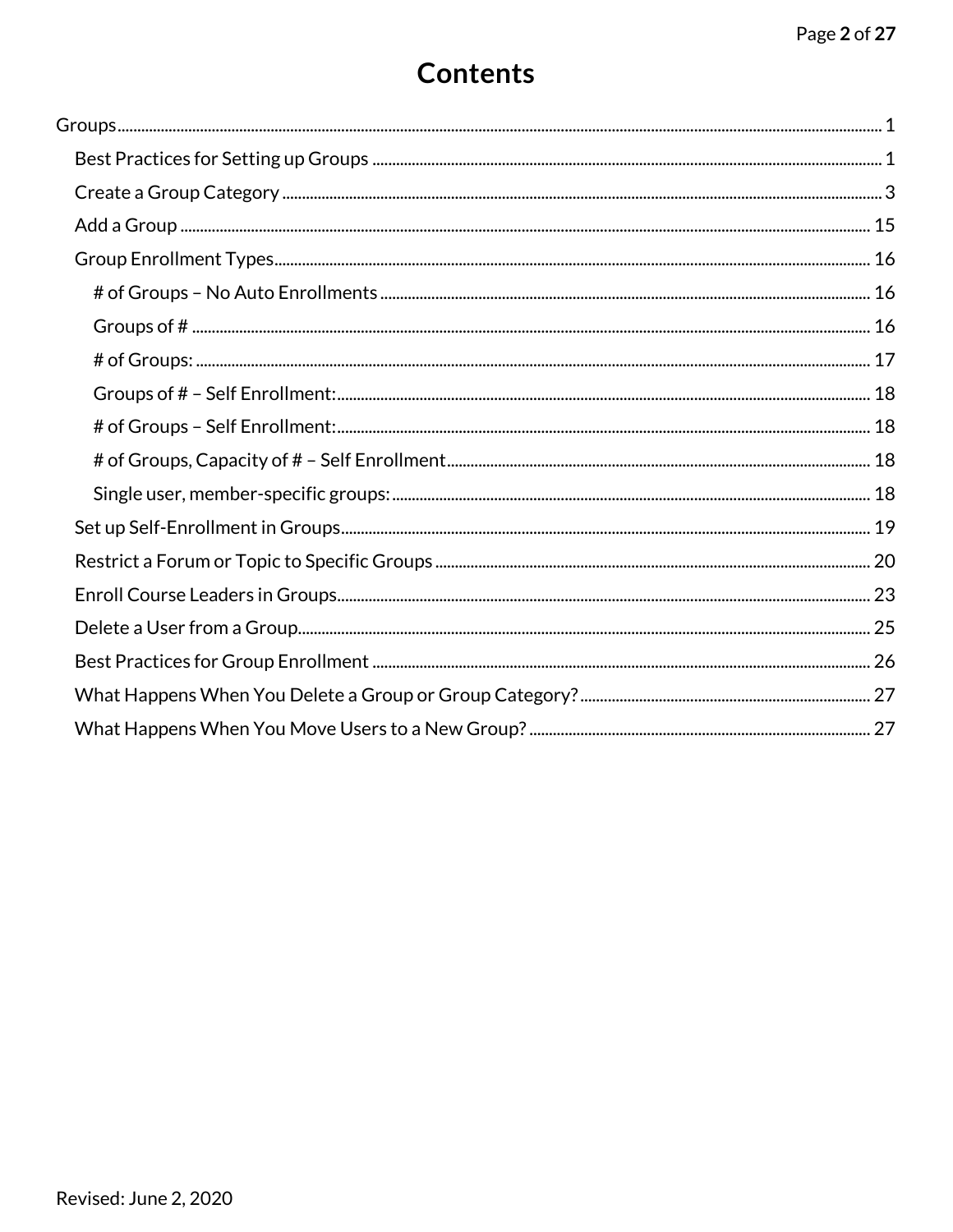# **Contents**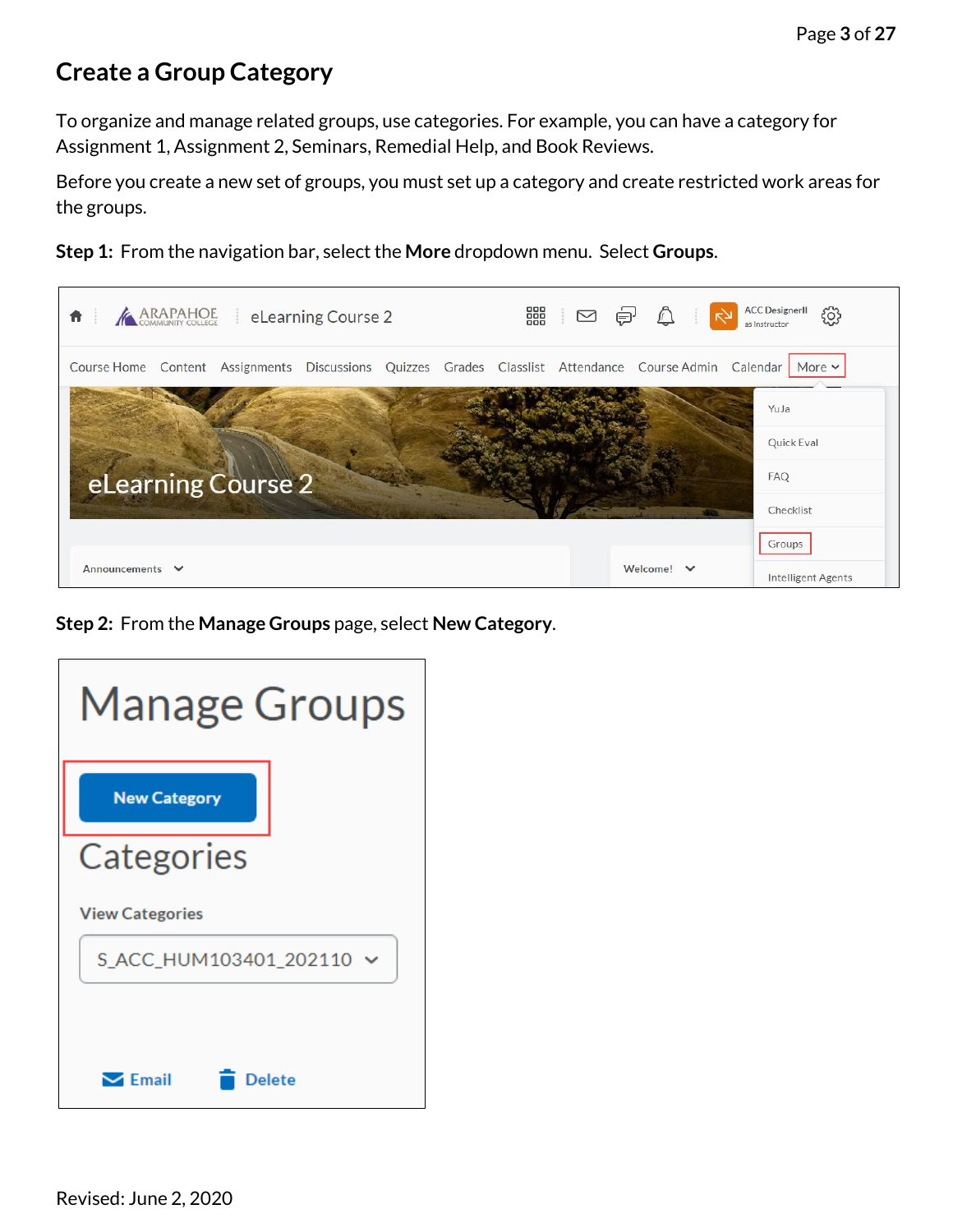### <span id="page-2-0"></span>**Create a Group Category**

To organize and manage related groups, use categories. For example, you can have a category for Assignment 1, Assignment 2, Seminars, Remedial Help, and Book Reviews.

Before you create a new set of groups, you must set up a category and create restricted work areas for the groups.

**Step 1:** From the navigation bar, select the **More** dropdown menu. Select **Groups**.



**Step 2:** From the **Manage Groups** page, select **New Category**.

| <b>Manage Groups</b>                  |  |  |  |  |  |
|---------------------------------------|--|--|--|--|--|
| <b>New Category</b>                   |  |  |  |  |  |
| Categories                            |  |  |  |  |  |
| <b>View Categories</b>                |  |  |  |  |  |
| S_ACC_HUM103401_202110                |  |  |  |  |  |
|                                       |  |  |  |  |  |
| $\blacktriangleright$ Email<br>Delete |  |  |  |  |  |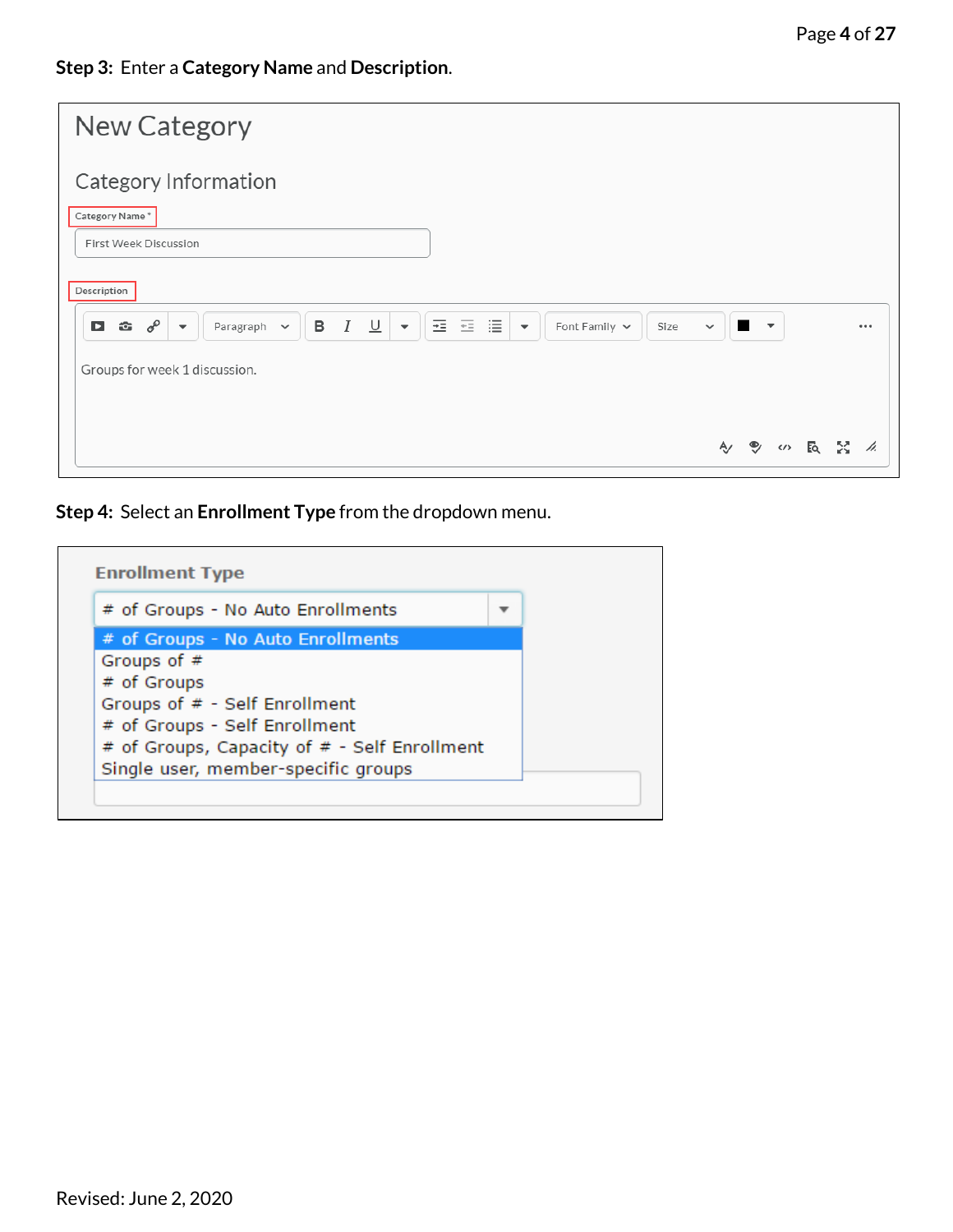### **Step 3:** Enter a **Category Name** and **Description**.

| <b>New Category</b>                                                                                                                                                                                 |                                                                                       |
|-----------------------------------------------------------------------------------------------------------------------------------------------------------------------------------------------------|---------------------------------------------------------------------------------------|
| Category Information<br>Category Name*                                                                                                                                                              |                                                                                       |
| First Week Discussion<br>Description<br>I                                                                                                                                                           | $\overline{\phantom{a}}$                                                              |
| 医三目<br>$\, {\bf B}$<br>$\underline{\cup}$<br>$\sigma^{\!\mathcal{O}}$<br>$\bullet$<br>$\mathbf{p}$<br>Paragraph $\sim$<br>$\mathbf{v}$<br>$\overline{\phantom{a}}$<br>Groups for week 1 discussion. | Font Family $\vee$<br>W.<br>Size<br>$\overline{\phantom{a}}$<br>$\checkmark$<br>0.0.0 |
|                                                                                                                                                                                                     | ◆ ♥ ∽ 辰 ⊠<br>/ı.                                                                      |

**Step 4:** Select an **Enrollment Type** from the dropdown menu.

| # of Groups - No Auto Enrollments            |  |
|----------------------------------------------|--|
| # of Groups - No Auto Enrollments            |  |
| Groups of $#$                                |  |
| # of Groups                                  |  |
| Groups of # - Self Enrollment                |  |
| # of Groups - Self Enrollment                |  |
| # of Groups, Capacity of # - Self Enrollment |  |
| Single user, member-specific groups          |  |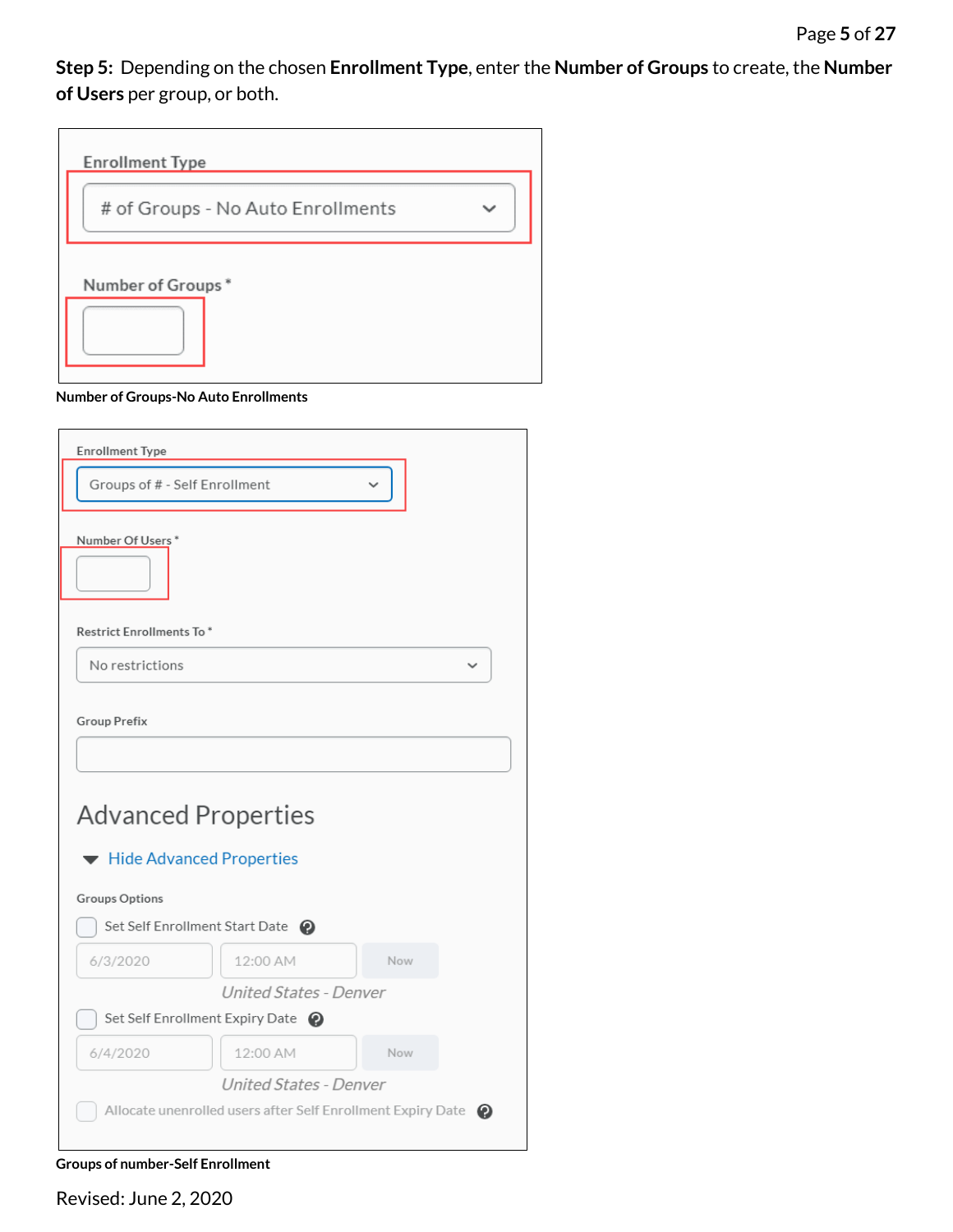**Step 5:** Depending on the chosen **Enrollment Type**, enter the **Number of Groups** to create, the **Number of Users** per group, or both.

| <b>Enrollment Type</b>            |  |
|-----------------------------------|--|
| # of Groups - No Auto Enrollments |  |
| Number of Groups*                 |  |

**Number of Groups-No Auto Enrollments**

| <b>Enrollment Type</b>                                        |  |  |  |  |  |  |
|---------------------------------------------------------------|--|--|--|--|--|--|
| Groups of # - Self Enrollment                                 |  |  |  |  |  |  |
| Number Of Users*                                              |  |  |  |  |  |  |
| Restrict Enrollments To*                                      |  |  |  |  |  |  |
| No restrictions                                               |  |  |  |  |  |  |
| <b>Group Prefix</b>                                           |  |  |  |  |  |  |
| <b>Advanced Properties</b><br>Hide Advanced Properties        |  |  |  |  |  |  |
| <b>Groups Options</b><br>Set Self Enrollment Start Date @     |  |  |  |  |  |  |
| 6/3/2020<br>12:00 AM<br>Now                                   |  |  |  |  |  |  |
| United States - Denver<br>Set Self Enrollment Expiry Date @   |  |  |  |  |  |  |
| 6/4/2020<br>12:00 AM<br>Now                                   |  |  |  |  |  |  |
| United States - Denver                                        |  |  |  |  |  |  |
| Allocate unenrolled users after Self Enrollment Expiry Date @ |  |  |  |  |  |  |

**Groups of number-Self Enrollment**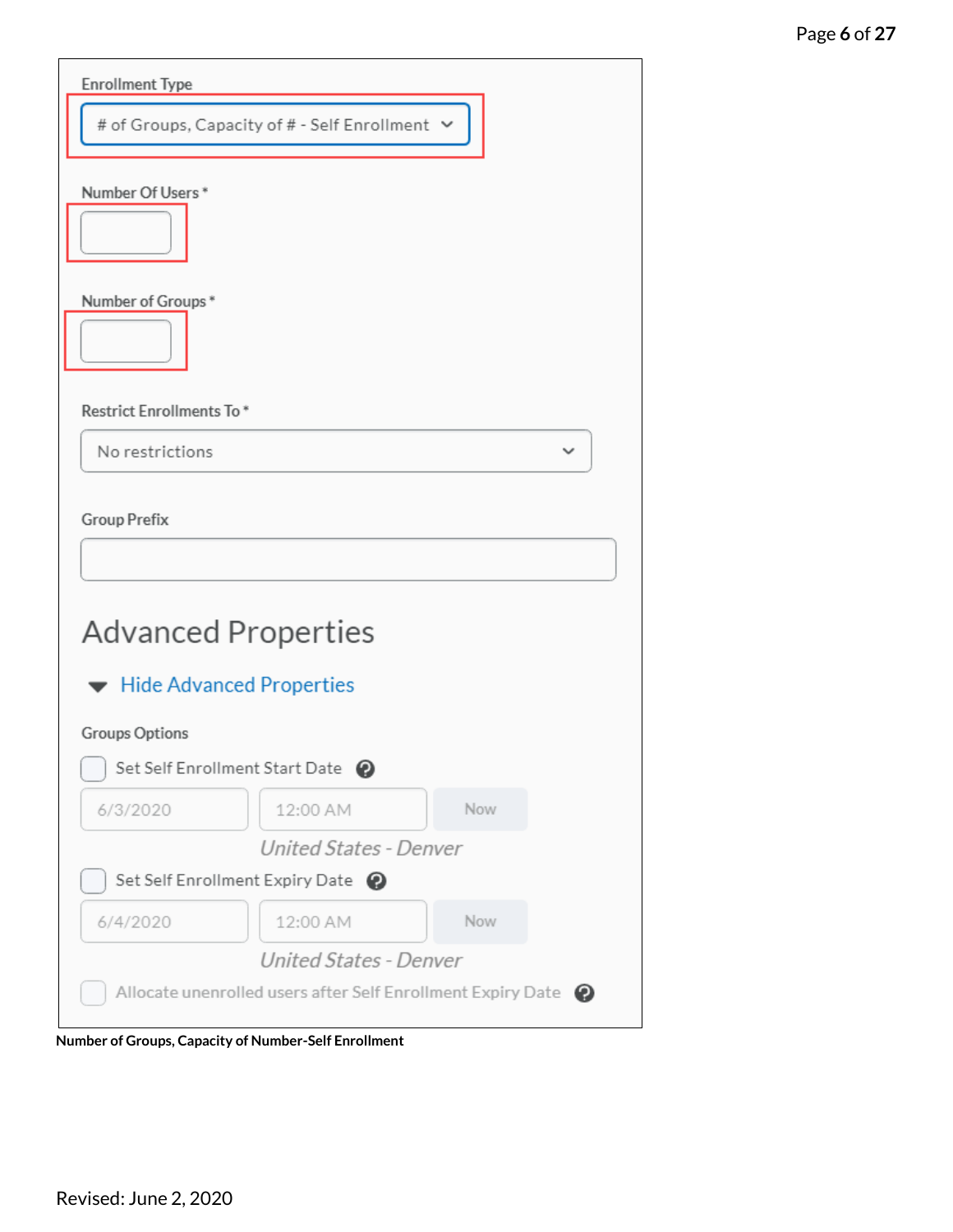|                                 | # of Groups, Capacity of # - Self Enrollment $\vee$ |             |
|---------------------------------|-----------------------------------------------------|-------------|
| Number Of Users*                |                                                     |             |
| Number of Groups*               |                                                     |             |
| <b>Restrict Enrollments To*</b> |                                                     |             |
| No restrictions                 |                                                     | $\check{ }$ |
| <b>Group Prefix</b>             |                                                     |             |
|                                 |                                                     |             |
|                                 |                                                     |             |
|                                 | <b>Advanced Properties</b>                          |             |
|                                 | ▼ Hide Advanced Properties                          |             |
|                                 |                                                     |             |
| <b>Groups Options</b>           |                                                     |             |
| 6/3/2020                        | Set Self Enrollment Start Date @<br>12:00 AM        | Now         |
|                                 | United States - Denver                              |             |
|                                 | Set Self Enrollment Expiry Date @                   |             |
| 6/4/2020                        | 12:00 AM                                            | Now         |

**Number of Groups, Capacity of Number-Self Enrollment**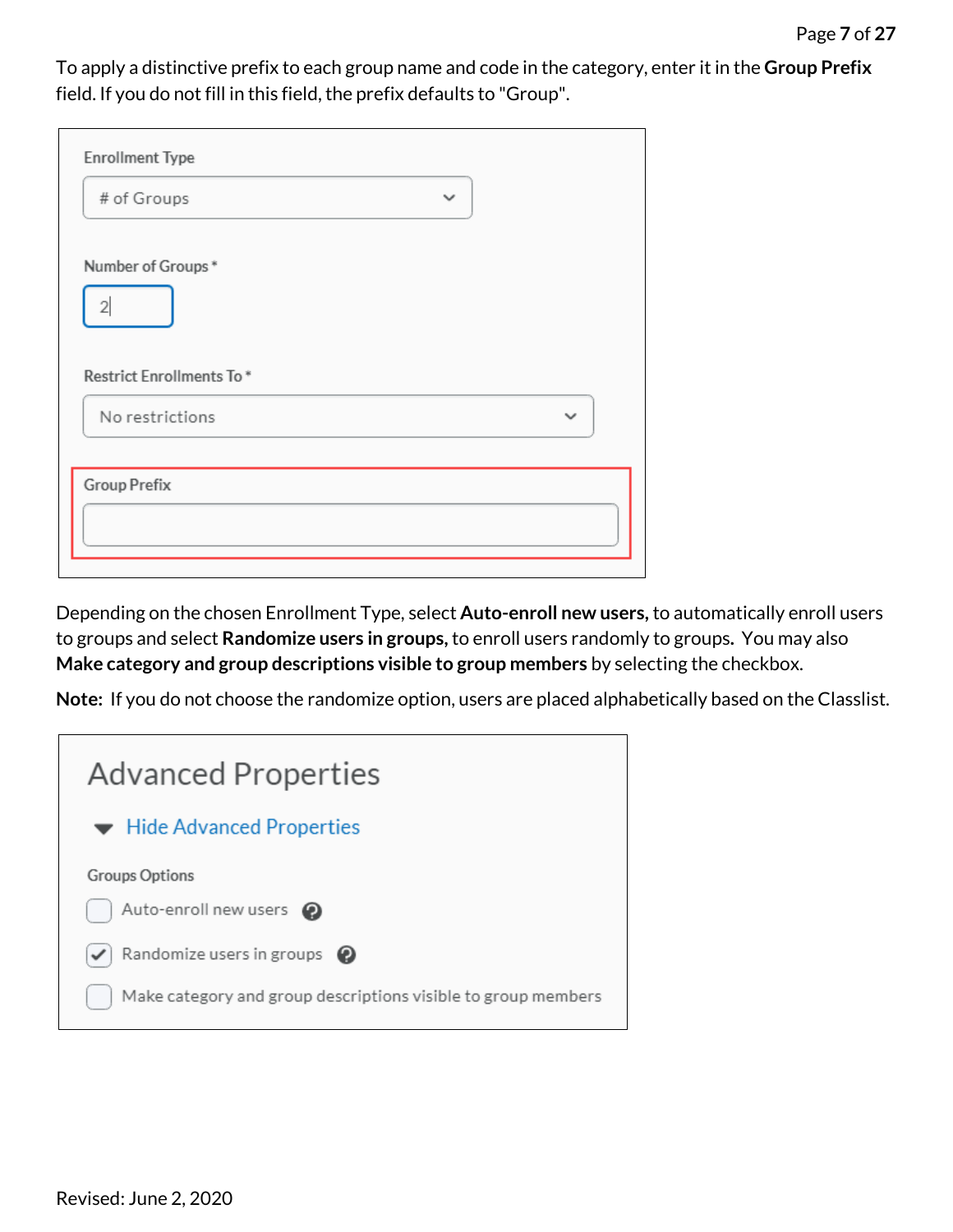To apply a distinctive prefix to each group name and code in the category, enter it in the **Group Prefix** field. If you do not fill in this field, the prefix defaults to "Group".

| # of Groups              | $\checkmark$ |              |
|--------------------------|--------------|--------------|
| Number of Groups*        |              |              |
| $\overline{2}$           |              |              |
| Restrict Enrollments To* |              |              |
| No restrictions          |              | $\checkmark$ |
| <b>Group Prefix</b>      |              |              |
|                          |              |              |

Depending on the chosen Enrollment Type, select **Auto-enroll new users,** to automatically enroll users to groups and select **Randomize users in groups,** to enroll users randomly to groups**.** You may also **Make category and group descriptions visible to group members** by selecting the checkbox.

**Note:** If you do not choose the randomize option, users are placed alphabetically based on the Classlist.

| <b>Advanced Properties</b>                                    |
|---------------------------------------------------------------|
| <b>▼</b> Hide Advanced Properties                             |
| Groups Options                                                |
| Auto-enroll new users<br>◉                                    |
| Randomize users in groups $\bullet$                           |
| Make category and group descriptions visible to group members |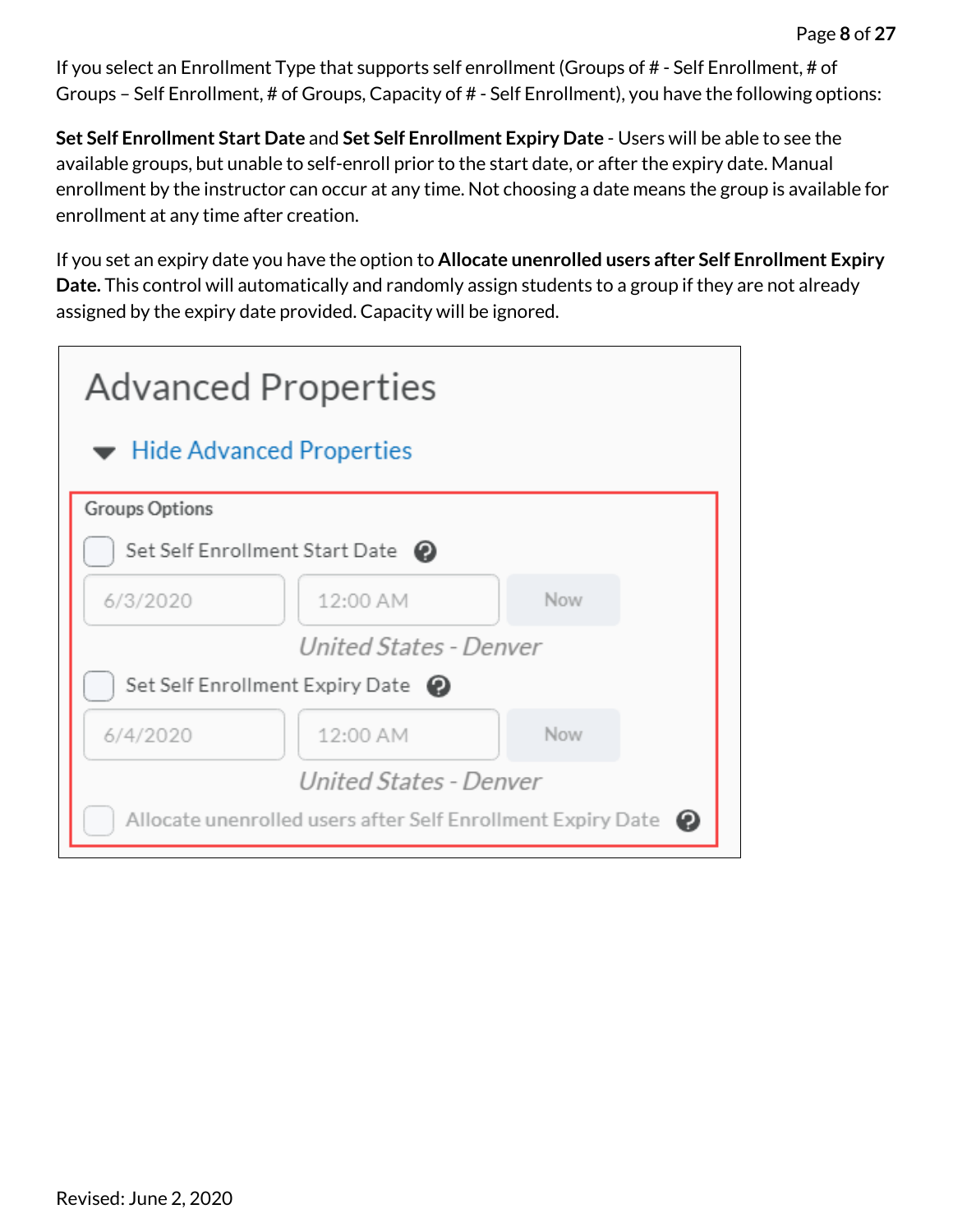If you select an Enrollment Type that supports self enrollment (Groups of # - Self Enrollment, # of Groups – Self Enrollment, # of Groups, Capacity of # - Self Enrollment), you have the following options:

**Set Self Enrollment Start Date** and **Set Self Enrollment Expiry Date** - Users will be able to see the available groups, but unable to self-enroll prior to the start date, or after the expiry date. Manual enrollment by the instructor can occur at any time. Not choosing a date means the group is available for enrollment at any time after creation.

If you set an expiry date you have the option to **Allocate unenrolled users after Self Enrollment Expiry Date.** This control will automatically and randomly assign students to a group if they are not already assigned by the expiry date provided. Capacity will be ignored.

| <b>Advanced Properties</b>                                    |                        |            |  |  |  |  |
|---------------------------------------------------------------|------------------------|------------|--|--|--|--|
| ▼ Hide Advanced Properties                                    |                        |            |  |  |  |  |
| <b>Groups Options</b>                                         |                        |            |  |  |  |  |
| Set Self Enrollment Start Date                                |                        |            |  |  |  |  |
| 6/3/2020                                                      | 12:00 AM               | Now        |  |  |  |  |
|                                                               | United States - Denver |            |  |  |  |  |
| Set Self Enrollment Expiry Date @                             |                        |            |  |  |  |  |
| 6/4/2020                                                      | 12:00 AM               | <b>Now</b> |  |  |  |  |
| <i>United States - Denver</i>                                 |                        |            |  |  |  |  |
| Allocate unenrolled users after Self Enrollment Expiry Date ( |                        |            |  |  |  |  |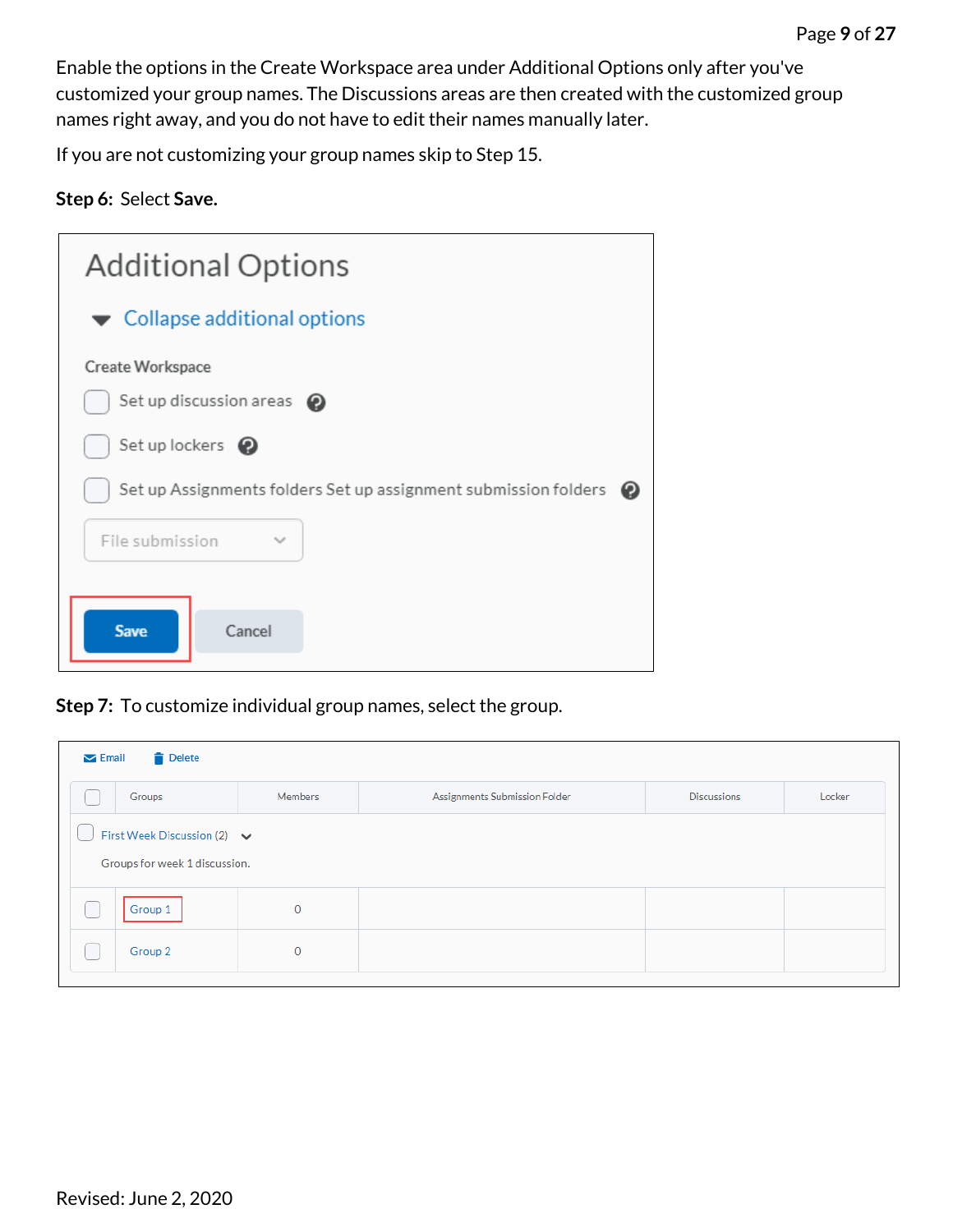Enable the options in the Create Workspace area under Additional Options only after you've customized your group names. The Discussions areas are then created with the customized group names right away, and you do not have to edit their names manually later.

If you are not customizing your group names skip to Step 15.

#### **Step 6:** Select **Save.**

| <b>Additional Options</b>                                                                   |
|---------------------------------------------------------------------------------------------|
| $\blacktriangleright$ Collapse additional options                                           |
| Create Workspace<br>Set up discussion areas<br>$\boldsymbol{\Omega}$                        |
| Set up lockers $\bullet$<br>Set up Assignments folders Set up assignment submission folders |
| File submission<br>$\checkmark$                                                             |
| <b>Save</b><br>Cancel                                                                       |

**Step 7:** To customize individual group names, select the group.

| Delete<br>$\blacktriangleright$ Email                             |         |              |                               |                    |        |  |
|-------------------------------------------------------------------|---------|--------------|-------------------------------|--------------------|--------|--|
|                                                                   | Groups  | Members      | Assignments Submission Folder | <b>Discussions</b> | Locker |  |
| First Week Discussion (2) $\vee$<br>Groups for week 1 discussion. |         |              |                               |                    |        |  |
|                                                                   | Group 1 | $\mathbf{0}$ |                               |                    |        |  |
|                                                                   | Group 2 | 0            |                               |                    |        |  |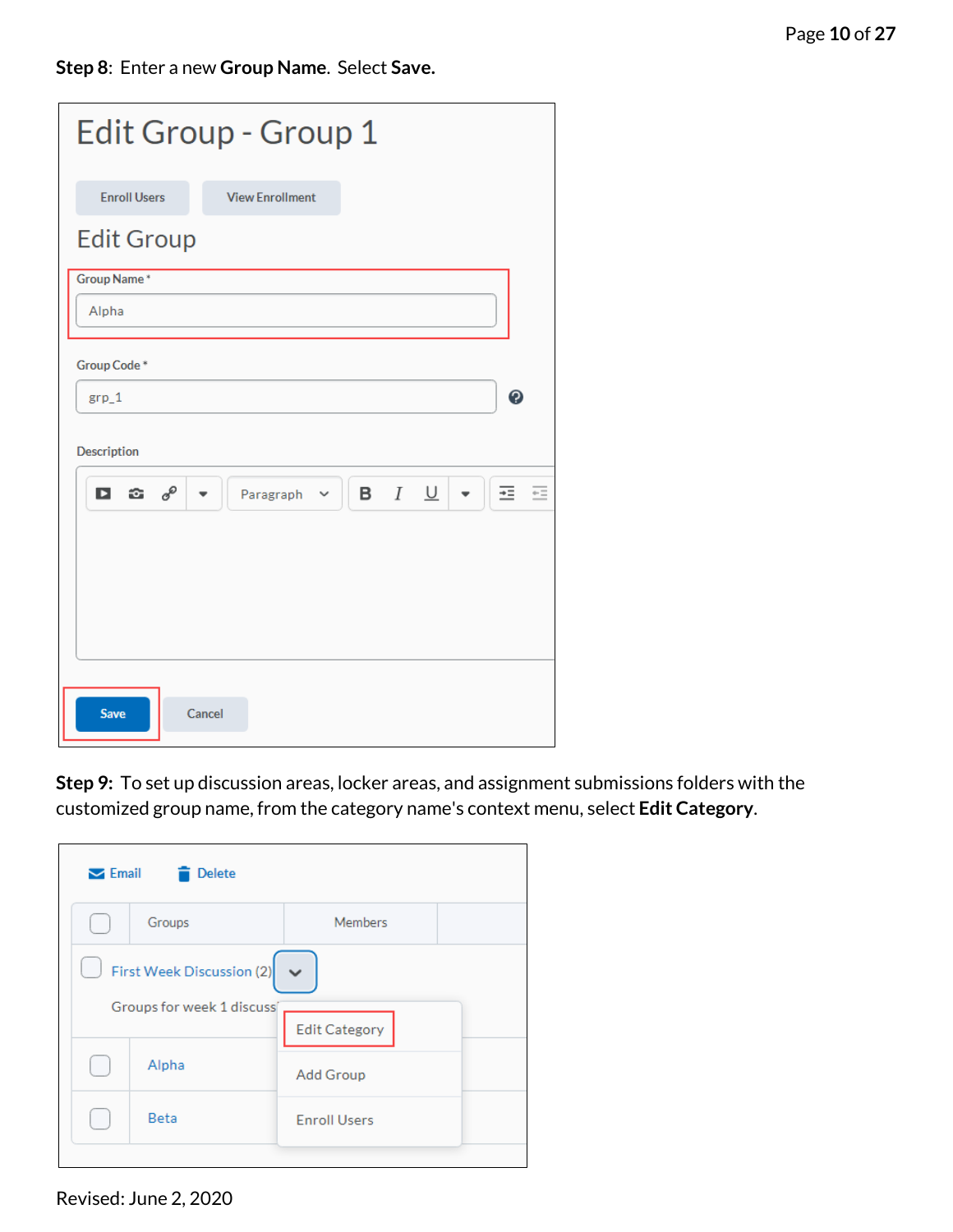**Step 8**: Enter a new **Group Name**. Select **Save.**

|                     | Edit Group - Group 1      |                   |                       |
|---------------------|---------------------------|-------------------|-----------------------|
| <b>Enroll Users</b> | <b>View Enrollment</b>    |                   |                       |
| <b>Edit Group</b>   |                           |                   |                       |
| Group Name*         |                           |                   |                       |
| Alpha               |                           |                   |                       |
| Group Code*         |                           |                   |                       |
| $grp_1$             |                           |                   | $\boldsymbol{\Theta}$ |
| Description         |                           |                   |                       |
| <b>ப</b> & ∂        | Paragraph<br>$\checkmark$ | <b>B</b> $I \cup$ | 主<br>르                |
|                     |                           |                   |                       |
|                     |                           |                   |                       |
|                     |                           |                   |                       |
|                     |                           |                   |                       |
| <b>Save</b>         | Cancel                    |                   |                       |

**Step 9:** To set up discussion areas, locker areas, and assignment submissions folders with the customized group name, from the category name's context menu, select **Edit Category**.

| $\blacktriangleright$ Email<br><b>Delete</b> |                                                        |                                          |  |  |
|----------------------------------------------|--------------------------------------------------------|------------------------------------------|--|--|
|                                              | Groups                                                 | <b>Members</b>                           |  |  |
|                                              | First Week Discussion (2)<br>Groups for week 1 discuss |                                          |  |  |
|                                              | Alpha                                                  | <b>Edit Category</b><br><b>Add Group</b> |  |  |
|                                              | Beta                                                   | <b>Enroll Users</b>                      |  |  |
|                                              |                                                        |                                          |  |  |

Revised: June 2, 2020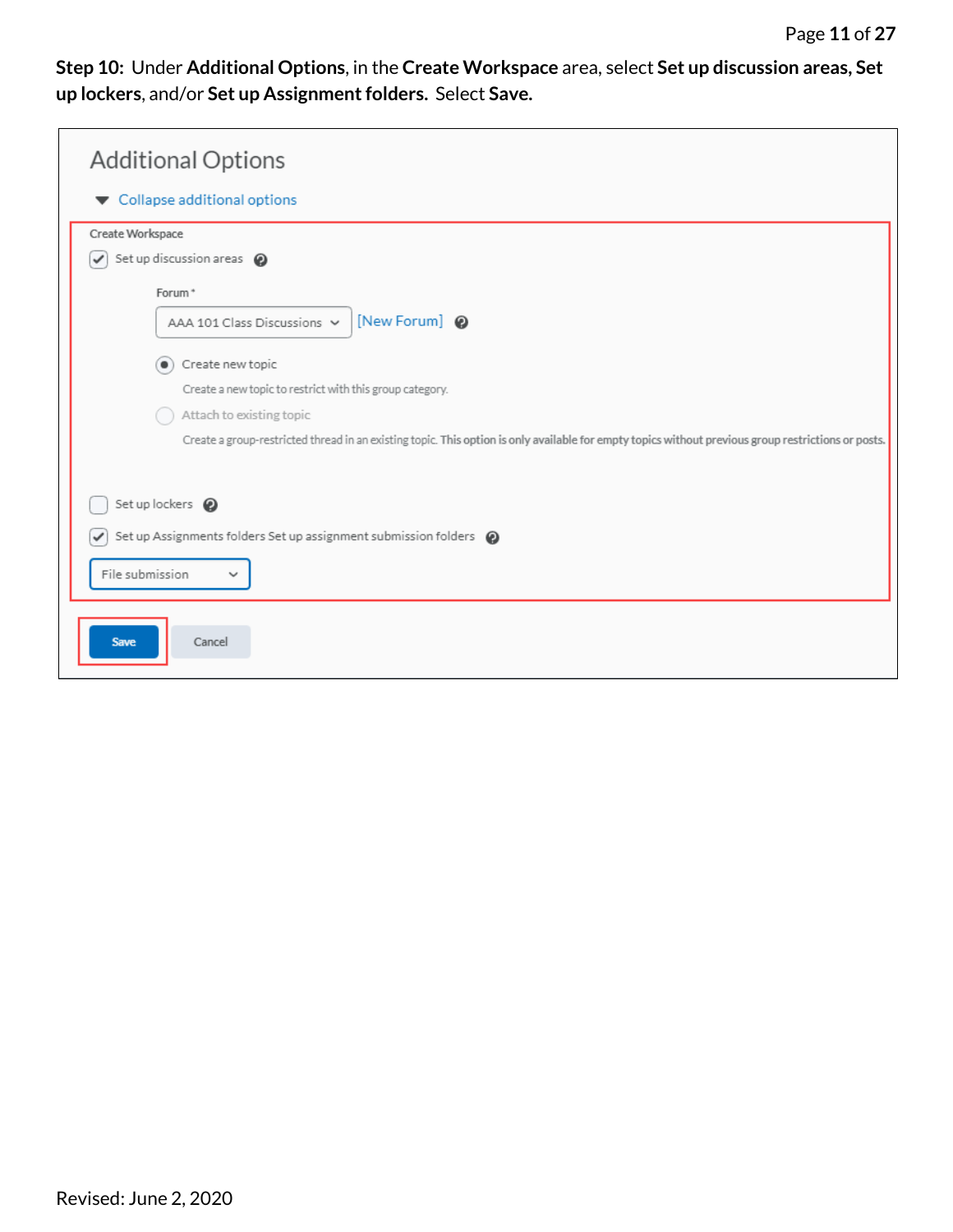**Step 10:** Under **Additional Options**, in the **Create Workspace** area, select **Set up discussion areas, Set up lockers**, and/or **Set up Assignment folders.** Select **Save.**

| <b>Additional Options</b>                                                                                                                           |
|-----------------------------------------------------------------------------------------------------------------------------------------------------|
| Collapse additional options                                                                                                                         |
| Create Workspace                                                                                                                                    |
| Set up discussion areas @<br>✓                                                                                                                      |
| Forum <sup>*</sup>                                                                                                                                  |
| [New Forum] @<br>AAA 101 Class Discussions $\vee$                                                                                                   |
| $\circ$ Create new topic                                                                                                                            |
| Create a new topic to restrict with this group category.                                                                                            |
| Attach to existing topic                                                                                                                            |
| Create a group-restricted thread in an existing topic. This option is only available for empty topics without previous group restrictions or posts. |
|                                                                                                                                                     |
| Set up lockers $\odot$                                                                                                                              |
| Set up Assignments folders Set up assignment submission folders @                                                                                   |
| File submission<br>$\check{ }$                                                                                                                      |
| <b>Save</b><br>Cancel                                                                                                                               |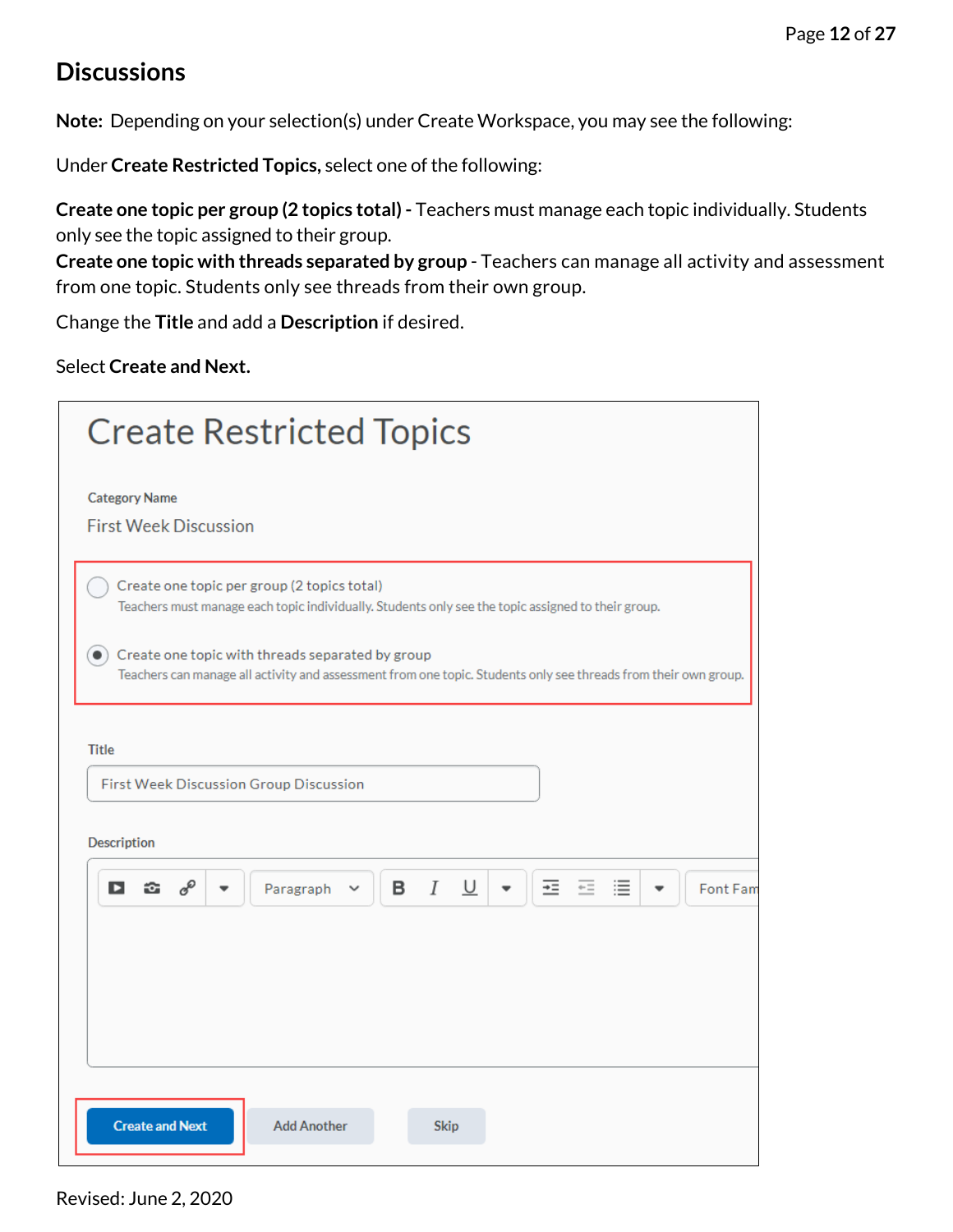### **Discussions**

**Note:** Depending on your selection(s) under Create Workspace, you may see the following:

Under **Create Restricted Topics,** select one of the following:

**Create one topic per group (2 topics total) -** Teachers must manage each topic individually. Students only see the topic assigned to their group.

**Create one topic with threads separated by group** - Teachers can manage all activity and assessment from one topic. Students only see threads from their own group.

Change the **Title** and add a **Description** if desired.

#### Select **Create and Next.**

| <b>Create Restricted Topics</b>                                                                                                                                     |          |
|---------------------------------------------------------------------------------------------------------------------------------------------------------------------|----------|
| <b>Category Name</b><br><b>First Week Discussion</b>                                                                                                                |          |
| Create one topic per group (2 topics total)<br>Teachers must manage each topic individually. Students only see the topic assigned to their group.                   |          |
| Create one topic with threads separated by group<br>Teachers can manage all activity and assessment from one topic. Students only see threads from their own group. |          |
| <b>Title</b>                                                                                                                                                        |          |
| First Week Discussion Group Discussion                                                                                                                              |          |
| Description                                                                                                                                                         |          |
| $I \perp$<br>в<br>主<br>這<br>$\leftarrow$<br>D<br>$\mathcal{O}^{\mathcal{O}}$<br>Paragraph<br>÷.                                                                     | Font Fam |
|                                                                                                                                                                     |          |
|                                                                                                                                                                     |          |
|                                                                                                                                                                     |          |
|                                                                                                                                                                     |          |
|                                                                                                                                                                     |          |
| <b>Create and Next</b><br><b>Add Another</b><br><b>Skip</b>                                                                                                         |          |

Revised: June 2, 2020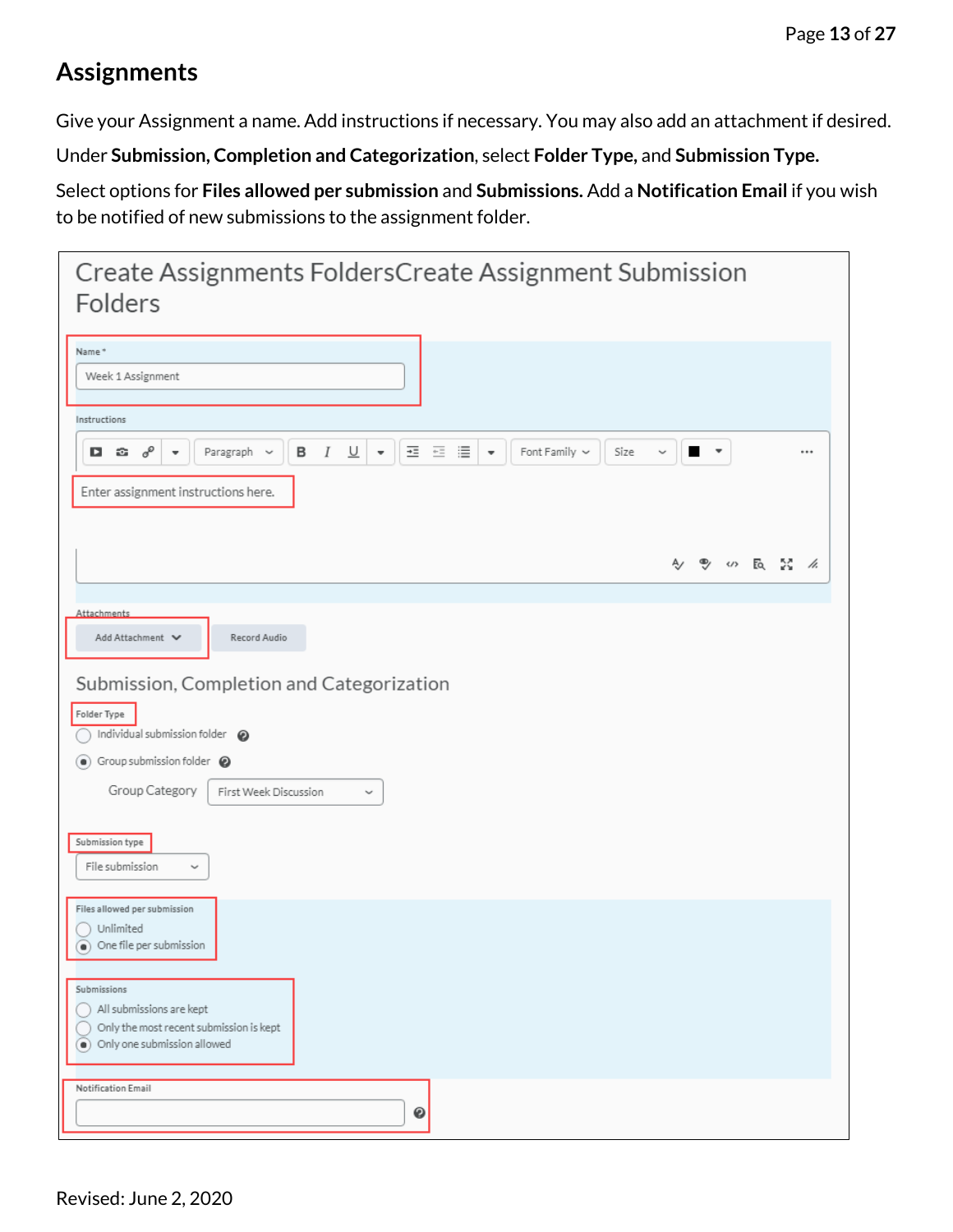### **Assignments**

Give your Assignment a name. Add instructions if necessary. You may also add an attachment if desired.

Under **Submission, Completion and Categorization**, select **Folder Type,** and **Submission Type.** 

Select options for **Files allowed per submission** and **Submissions.** Add a **Notification Email** if you wish to be notified of new submissions to the assignment folder.

| Create Assignments FoldersCreate Assignment Submission<br>Folders                                                                                                                                                                                               |
|-----------------------------------------------------------------------------------------------------------------------------------------------------------------------------------------------------------------------------------------------------------------|
| Name*                                                                                                                                                                                                                                                           |
| Week 1 Assignment                                                                                                                                                                                                                                               |
| Instructions                                                                                                                                                                                                                                                    |
| $\cal I$<br>$\underline{\mathsf{U}}$<br>$\div\Xi$<br>$\leftarrow$ $\equiv$<br>這<br>o<br>в<br>Paragraph ~<br>$\overline{\phantom{a}}$<br>Font Family $\sim$<br>$\mathbf{r}$<br>$\overline{\phantom{a}}$<br>Size<br>o<br>æ.<br>$\checkmark$<br>٠<br>              |
| Enter assignment instructions here.                                                                                                                                                                                                                             |
|                                                                                                                                                                                                                                                                 |
| <b>ツ の 長 器 么</b>                                                                                                                                                                                                                                                |
|                                                                                                                                                                                                                                                                 |
| Attachments<br>Record Audio<br>Add Attachment V                                                                                                                                                                                                                 |
| Submission, Completion and Categorization<br>Folder Type<br>Individual submission folder $\bigcirc$<br>$\textcircled{\scriptsize\bullet}$ Group submission folder $\textcircled{\scriptsize\bullet}$<br>Group Category<br>First Week Discussion<br>$\checkmark$ |
| Submission type<br>File submission<br>$\checkmark$                                                                                                                                                                                                              |
| Files allowed per submission<br>Unlimited<br>One file per submission                                                                                                                                                                                            |
| Submissions<br>All submissions are kept<br>Only the most recent submission is kept<br>(a) Only one submission allowed                                                                                                                                           |
| Notification Email<br>$\bullet$                                                                                                                                                                                                                                 |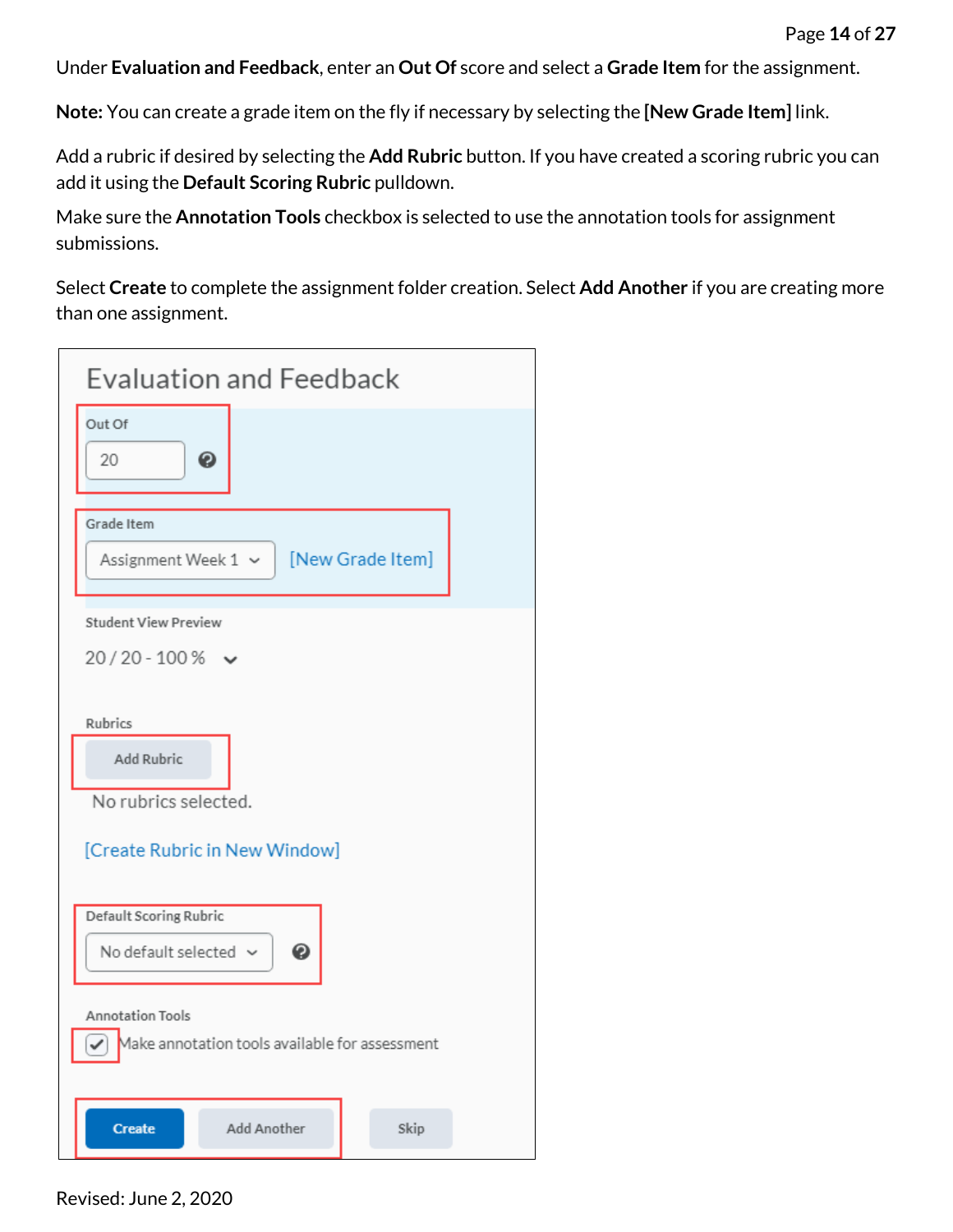Under **Evaluation and Feedback**, enter an **Out Of** score and select a **Grade Item** for the assignment.

**Note:** You can create a grade item on the fly if necessary by selecting the **[New Grade Item]** link.

Add a rubric if desired by selecting the **Add Rubric** button. If you have created a scoring rubric you can add it using the **Default Scoring Rubric** pulldown.

Make sure the **Annotation Tools** checkbox is selected to use the annotation tools for assignment submissions.

Select **Create** to complete the assignment folder creation. Select **Add Another** if you are creating more than one assignment.

| Evaluation and Feedback                                                                        |
|------------------------------------------------------------------------------------------------|
| Out Of<br>◉<br>20                                                                              |
| Grade Item<br>[New Grade Item]<br>Assignment Week 1 $\sim$                                     |
| <b>Student View Preview</b><br>$20/20 - 100\%$ $\sim$                                          |
| Rubrics<br>Add Rubric<br>No rubrics selected.                                                  |
| [Create Rubric in New Window]                                                                  |
| Default Scoring Rubric<br>❷<br>No default selected $\sim$                                      |
| <b>Annotation Tools</b><br>$\sqrt{\phantom{a}}$ Make annotation tools available for assessment |
| <b>Create</b><br>Add Another<br>Skip                                                           |

Revised: June 2, 2020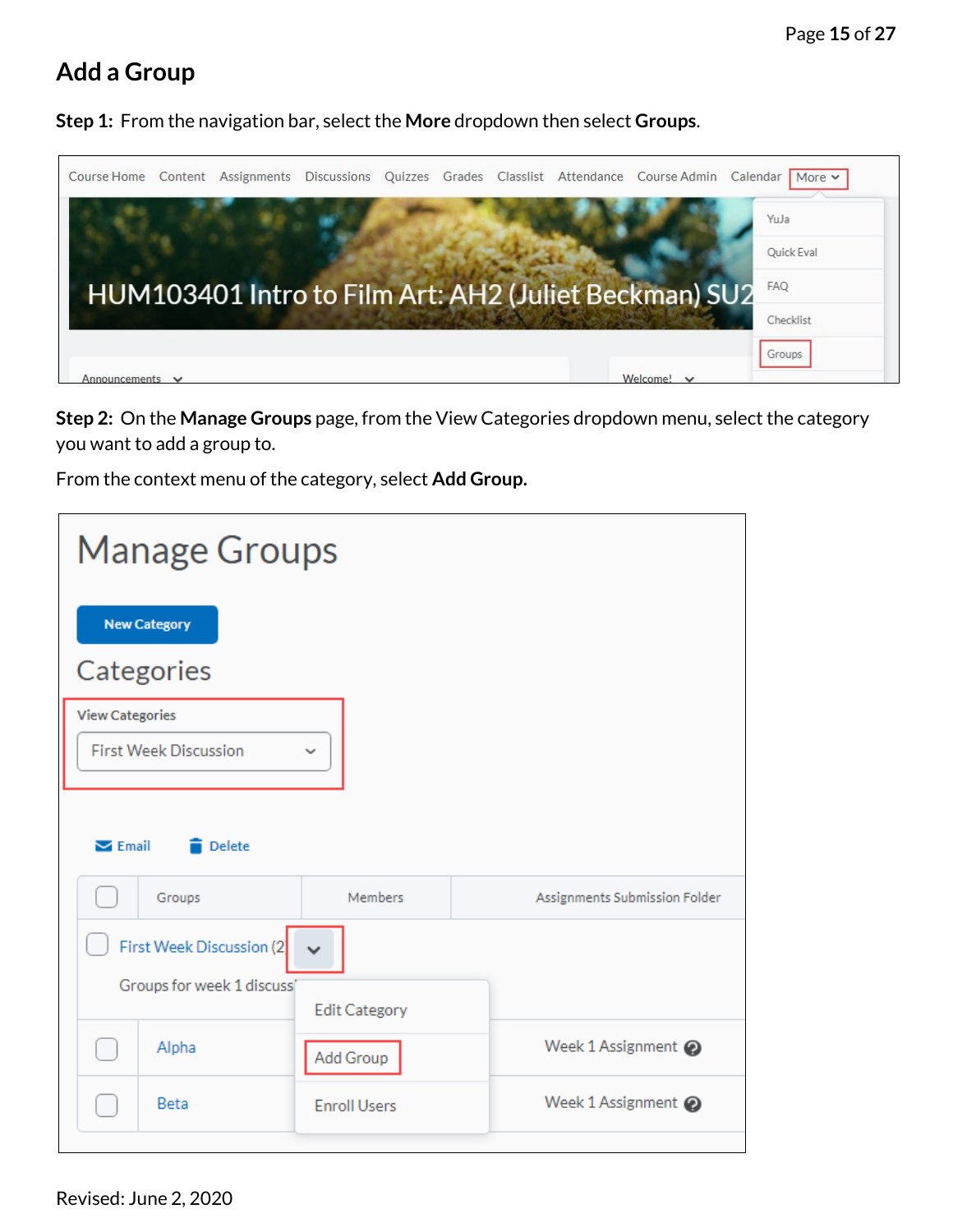## <span id="page-14-0"></span>**Add a Group**

**Step 1:** From the navigation bar, select the **More** dropdown then select **Groups**.



**Step 2:** On the **Manage Groups** page, from the View Categories dropdown menu, select the category you want to add a group to.

From the context menu of the category, select **Add Group.**

|                                                       | <b>Manage Groups</b>                                    |                      |                               |
|-------------------------------------------------------|---------------------------------------------------------|----------------------|-------------------------------|
|                                                       | <b>New Category</b><br>Categories                       |                      |                               |
| <b>View Categories</b><br>$\blacktriangleright$ Email | <b>First Week Discussion</b><br><b>Delete</b>           | $\checkmark$         |                               |
|                                                       | Groups                                                  | Members              | Assignments Submission Folder |
|                                                       | First Week Discussion (2)<br>Groups for week 1 discuss' | <b>Edit Category</b> |                               |
|                                                       | Alpha                                                   | Add Group            | Week 1 Assignment @           |
|                                                       | <b>Beta</b>                                             | <b>Enroll Users</b>  | Week 1 Assignment @           |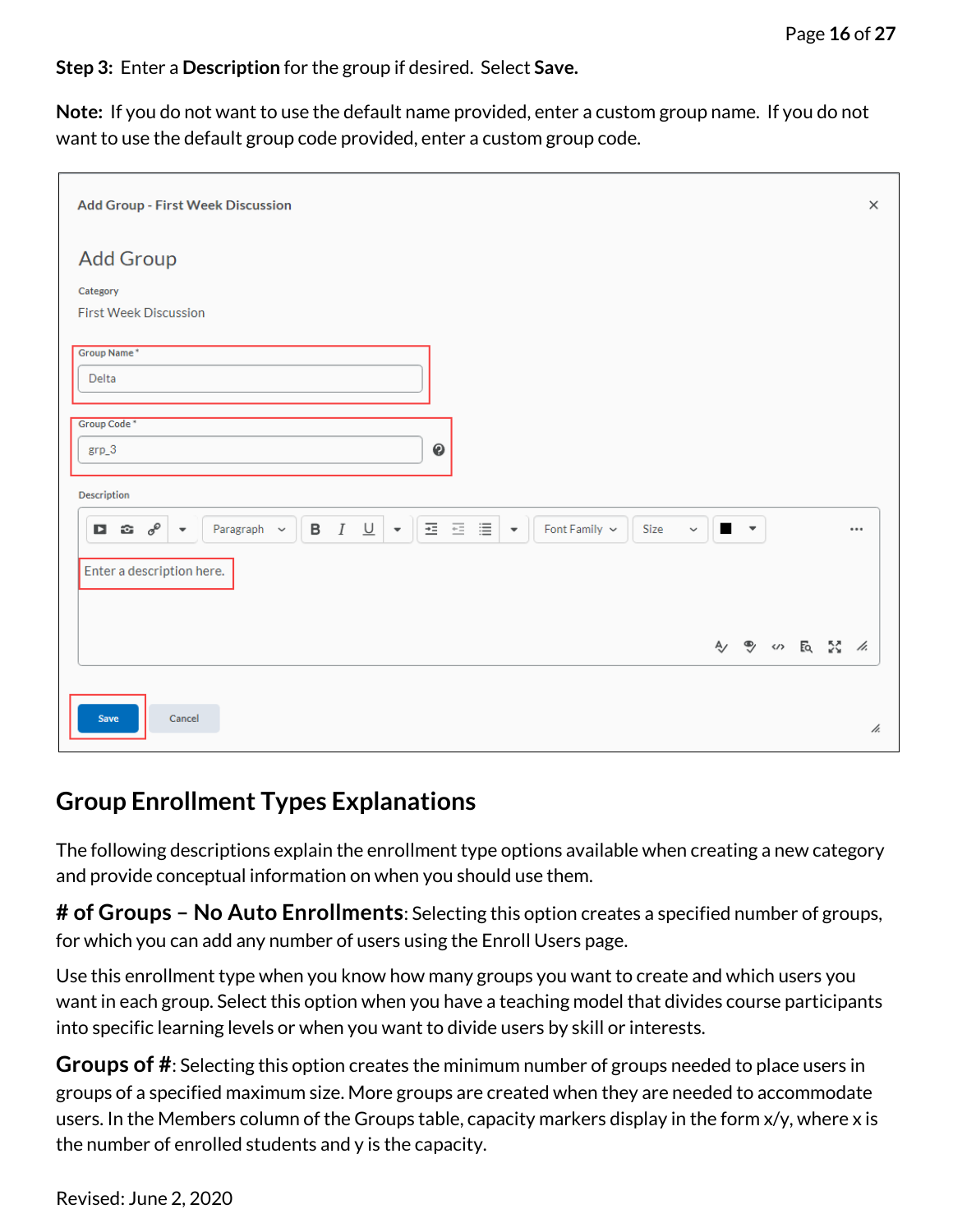**Step 3:** Enter a **Description** for the group if desired. Select **Save.**

**Note:** If you do not want to use the default name provided, enter a custom group name. If you do not want to use the default group code provided, enter a custom group code.

| <b>Add Group - First Week Discussion</b>                                                                                                                                                                                                  |      |              |                                       |  | $\times$ |
|-------------------------------------------------------------------------------------------------------------------------------------------------------------------------------------------------------------------------------------------|------|--------------|---------------------------------------|--|----------|
| <b>Add Group</b>                                                                                                                                                                                                                          |      |              |                                       |  |          |
| Category                                                                                                                                                                                                                                  |      |              |                                       |  |          |
| <b>First Week Discussion</b>                                                                                                                                                                                                              |      |              |                                       |  |          |
| Group Name*<br>Delta                                                                                                                                                                                                                      |      |              |                                       |  |          |
| Group Code*                                                                                                                                                                                                                               |      |              |                                       |  |          |
| $\bullet$<br>$grp_3$                                                                                                                                                                                                                      |      |              |                                       |  |          |
| Description                                                                                                                                                                                                                               |      |              |                                       |  |          |
| 三目<br>$\underline{\cup}$<br>$\overline{\mathbb{E}}$<br>в<br>$\cal I$<br>$\sigma^{\circ}$<br>Font Family $\sim$<br>$\sim$ 11<br>$\blacksquare$<br>$\mathbf{c}$<br>Paragraph $\sim$<br>$\overline{\phantom{a}}$<br>$\overline{\phantom{a}}$ | Size | $\checkmark$ | $\mathcal{L}_{\mathcal{A}}$ , we have |  |          |
| Enter a description here.                                                                                                                                                                                                                 |      |              |                                       |  |          |
|                                                                                                                                                                                                                                           |      |              |                                       |  |          |
|                                                                                                                                                                                                                                           |      |              | 4) 9 (1) 12 公 11                      |  |          |
|                                                                                                                                                                                                                                           |      |              |                                       |  |          |
| Cancel<br>Save                                                                                                                                                                                                                            |      |              |                                       |  | ħ.       |

### <span id="page-15-0"></span>**Group Enrollment Types Explanations**

The following descriptions explain the enrollment type options available when creating a new category and provide conceptual information on when you should use them.

<span id="page-15-1"></span>**# of Groups – No Auto Enrollments**: Selecting this option creates a specified number of groups, for which you can add any number of users using the Enroll Users page.

Use this enrollment type when you know how many groups you want to create and which users you want in each group. Select this option when you have a teaching model that divides course participants into specific learning levels or when you want to divide users by skill or interests.

<span id="page-15-2"></span>**Groups of #**: Selecting this option creates the minimum number of groups needed to place users in groups of a specified maximum size. More groups are created when they are needed to accommodate users. In the Members column of the Groups table, capacity markers display in the form x/y, where x is the number of enrolled students and y is the capacity.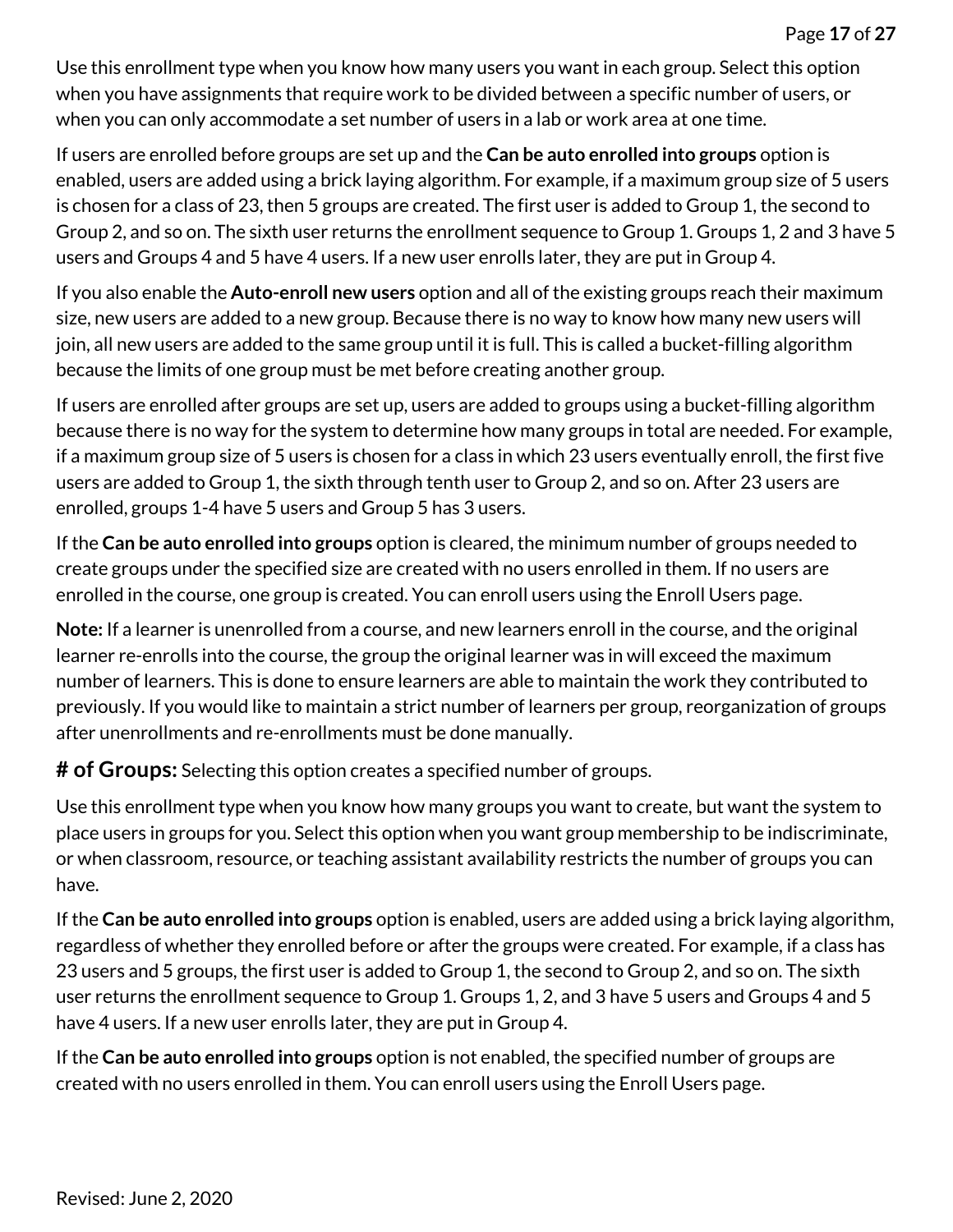Use this enrollment type when you know how many users you want in each group. Select this option when you have assignments that require work to be divided between a specific number of users, or when you can only accommodate a set number of users in a lab or work area at one time.

If users are enrolled before groups are set up and the **Can be auto enrolled into groups** option is enabled, users are added using a brick laying algorithm. For example, if a maximum group size of 5 users is chosen for a class of 23, then 5 groups are created. The first user is added to Group 1, the second to Group 2, and so on. The sixth user returns the enrollment sequence to Group 1. Groups 1, 2 and 3 have 5 users and Groups 4 and 5 have 4 users. If a new user enrolls later, they are put in Group 4.

If you also enable the **Auto-enroll new users** option and all of the existing groups reach their maximum size, new users are added to a new group. Because there is no way to know how many new users will join, all new users are added to the same group until it is full. This is called a bucket-filling algorithm because the limits of one group must be met before creating another group.

If users are enrolled after groups are set up, users are added to groups using a bucket-filling algorithm because there is no way for the system to determine how many groups in total are needed. For example, if a maximum group size of 5 users is chosen for a class in which 23 users eventually enroll, the first five users are added to Group 1, the sixth through tenth user to Group 2, and so on. After 23 users are enrolled, groups 1-4 have 5 users and Group 5 has 3 users.

If the **Can be auto enrolled into groups** option is cleared, the minimum number of groups needed to create groups under the specified size are created with no users enrolled in them. If no users are enrolled in the course, one group is created. You can enroll users using the Enroll Users page.

**Note:** If a learner is unenrolled from a course, and new learners enroll in the course, and the original learner re-enrolls into the course, the group the original learner was in will exceed the maximum number of learners. This is done to ensure learners are able to maintain the work they contributed to previously. If you would like to maintain a strict number of learners per group, reorganization of groups after unenrollments and re-enrollments must be done manually.

<span id="page-16-0"></span>**# of Groups:** Selecting this option creates a specified number of groups.

Use this enrollment type when you know how many groups you want to create, but want the system to place users in groups for you. Select this option when you want group membership to be indiscriminate, or when classroom, resource, or teaching assistant availability restricts the number of groups you can have.

If the **Can be auto enrolled into groups** option is enabled, users are added using a brick laying algorithm, regardless of whether they enrolled before or after the groups were created. For example, if a class has 23 users and 5 groups, the first user is added to Group 1, the second to Group 2, and so on. The sixth user returns the enrollment sequence to Group 1. Groups 1, 2, and 3 have 5 users and Groups 4 and 5 have 4 users. If a new user enrolls later, they are put in Group 4.

<span id="page-16-1"></span>If the **Can be auto enrolled into groups** option is not enabled, the specified number of groups are created with no users enrolled in them. You can enroll users using the Enroll Users page.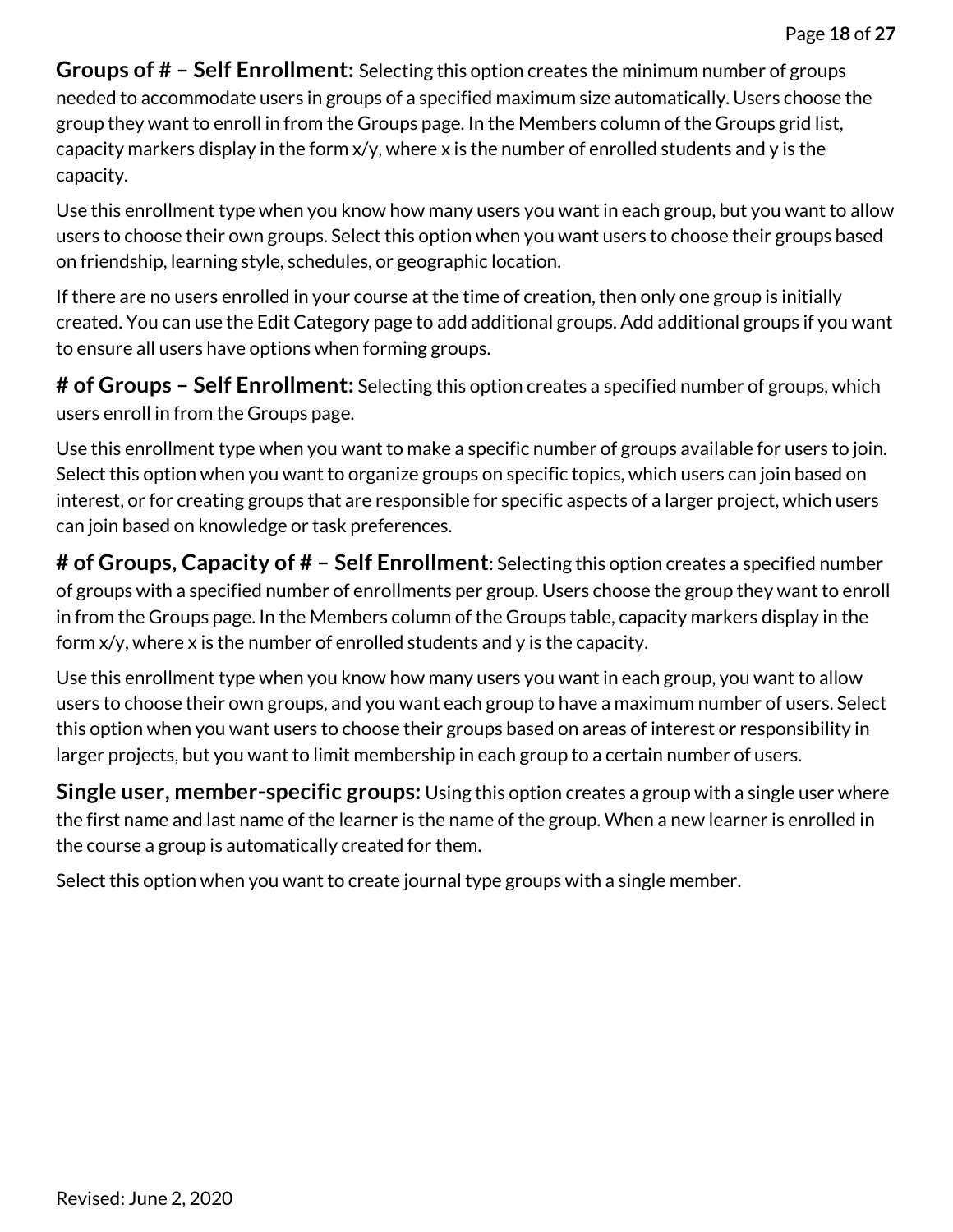**Groups of # – Self Enrollment:** Selecting this option creates the minimum number of groups needed to accommodate users in groups of a specified maximum size automatically. Users choose the group they want to enroll in from the Groups page. In the Members column of the Groups grid list, capacity markers display in the form x/y, where x is the number of enrolled students and y is the capacity.

Use this enrollment type when you know how many users you want in each group, but you want to allow users to choose their own groups. Select this option when you want users to choose their groups based on friendship, learning style, schedules, or geographic location.

If there are no users enrolled in your course at the time of creation, then only one group is initially created. You can use the Edit Category page to add additional groups. Add additional groups if you want to ensure all users have options when forming groups.

<span id="page-17-0"></span>**# of Groups – Self Enrollment:** Selecting this option creates a specified number of groups, which users enroll in from the Groups page.

Use this enrollment type when you want to make a specific number of groups available for users to join. Select this option when you want to organize groups on specific topics, which users can join based on interest, or for creating groups that are responsible for specific aspects of a larger project, which users can join based on knowledge or task preferences.

<span id="page-17-1"></span>**# of Groups, Capacity of # – Self Enrollment**: Selecting this option creates a specified number of groups with a specified number of enrollments per group. Users choose the group they want to enroll in from the Groups page. In the Members column of the Groups table, capacity markers display in the form x/y, where x is the number of enrolled students and y is the capacity.

Use this enrollment type when you know how many users you want in each group, you want to allow users to choose their own groups, and you want each group to have a maximum number of users. Select this option when you want users to choose their groups based on areas of interest or responsibility in larger projects, but you want to limit membership in each group to a certain number of users.

<span id="page-17-2"></span>**Single user, member-specific groups:** Using this option creates a group with a single user where the first name and last name of the learner is the name of the group. When a new learner is enrolled in the course a group is automatically created for them.

<span id="page-17-3"></span>Select this option when you want to create journal type groups with a single member.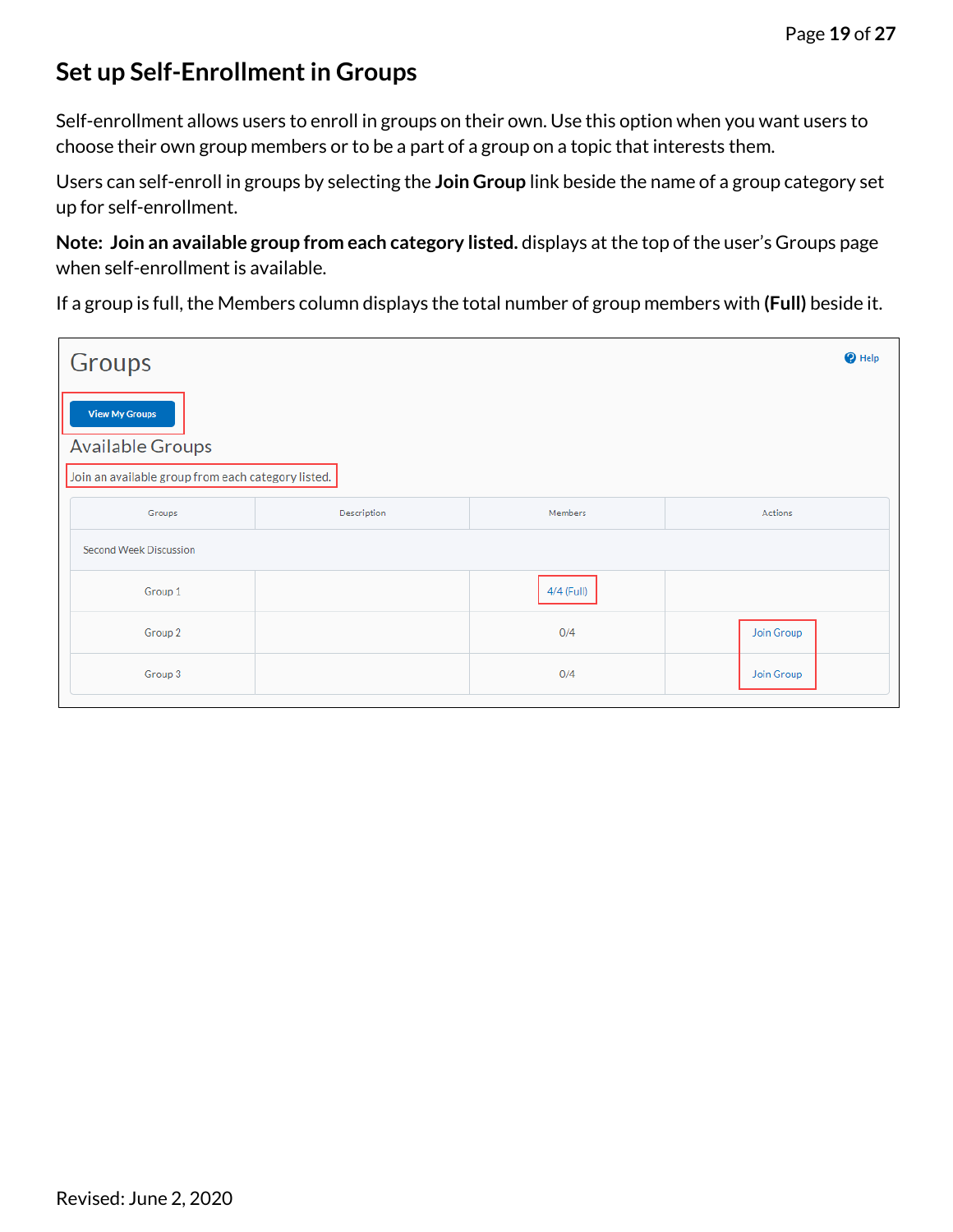## **Set up Self-Enrollment in Groups**

Self-enrollment allows users to enroll in groups on their own. Use this option when you want users to choose their own group members or to be a part of a group on a topic that interests them.

Users can self-enroll in groups by selecting the **Join Group** link beside the name of a group category set up for self-enrollment.

**Note: Join an available group from each category listed.** displays at the top of the user's Groups page when self-enrollment is available.

If a group is full, the Members column displays the total number of group members with **(Full)** beside it.

<span id="page-18-0"></span>

| Groups                                             |             |            | $\bullet$ Help |
|----------------------------------------------------|-------------|------------|----------------|
| <b>View My Groups</b><br><b>Available Groups</b>   |             |            |                |
| Join an available group from each category listed. |             |            |                |
| Groups                                             | Description | Members    | Actions        |
| Second Week Discussion                             |             |            |                |
| Group 1                                            |             | 4/4 (Full) |                |
| Group 2                                            |             | 0/4        | Join Group     |
| Group 3                                            |             | 0/4        | Join Group     |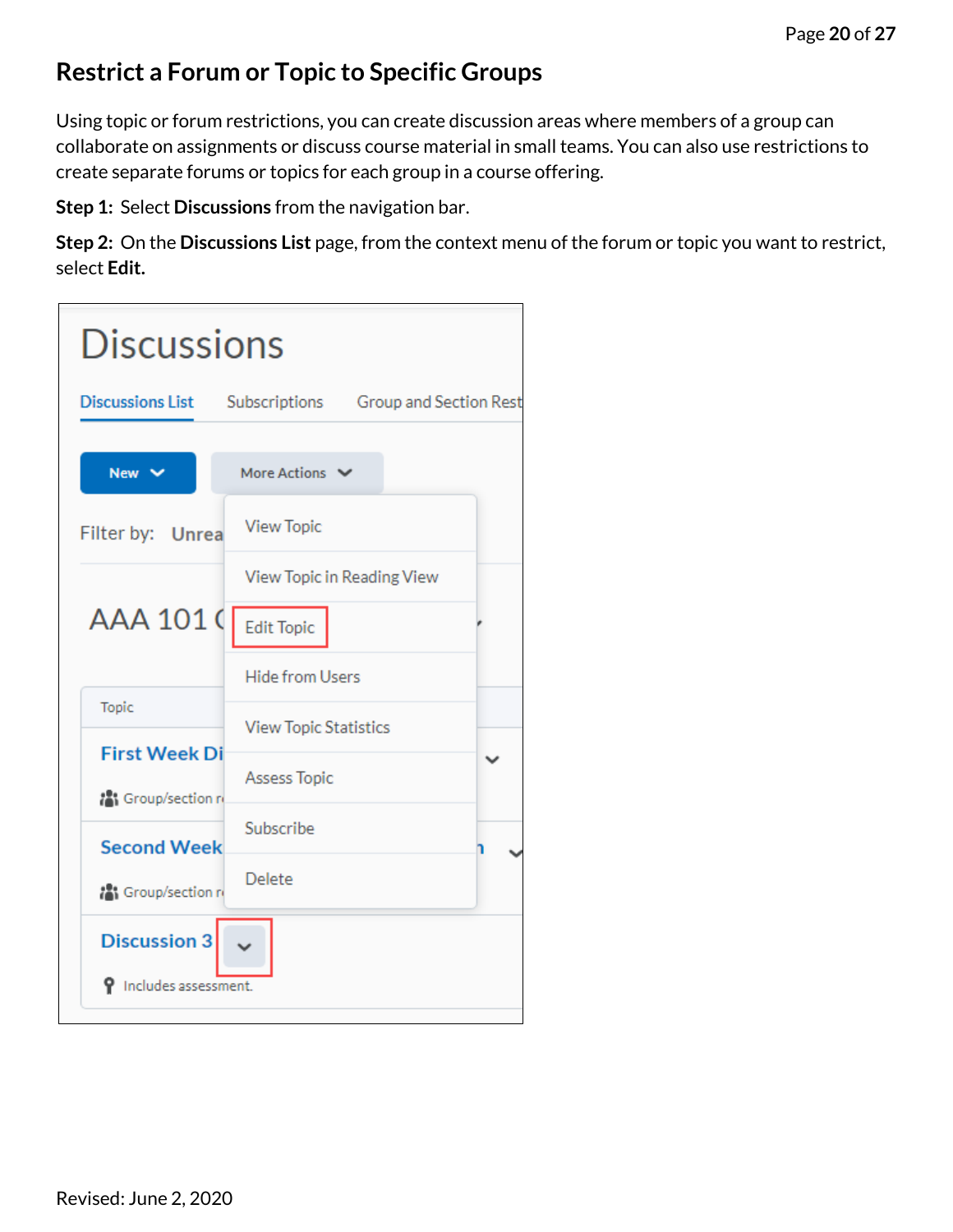## **Restrict a Forum or Topic to Specific Groups**

Using topic or forum restrictions, you can create discussion areas where members of a group can collaborate on assignments or discuss course material in small teams. You can also use restrictions to create separate forums or topics for each group in a course offering.

**Step 1:** Select **Discussions** from the navigation bar.

**Step 2:** On the **Discussions List** page, from the context menu of the forum or topic you want to restrict, select **Edit.**

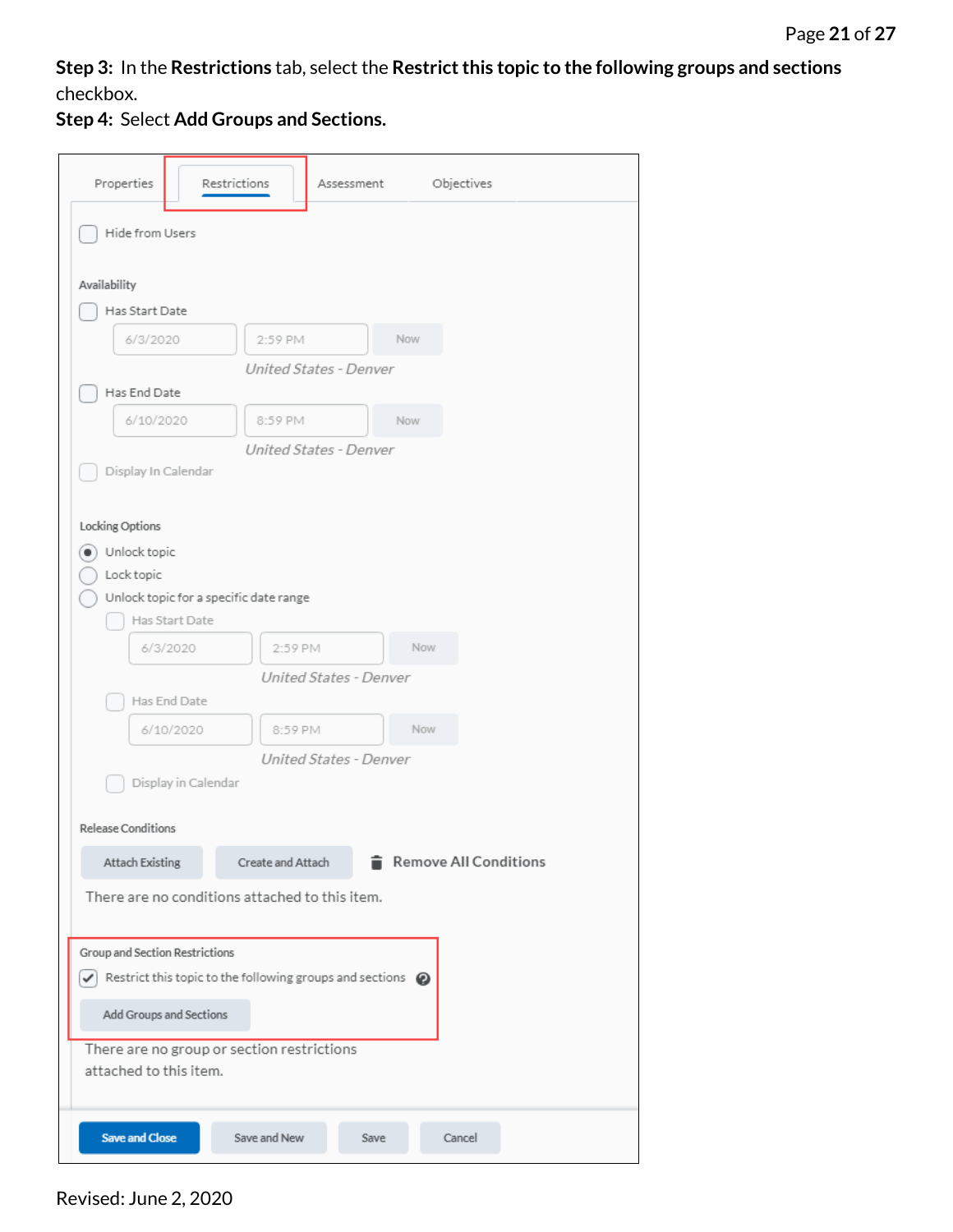**Step 3:** In the **Restrictions** tab, select the **Restrict this topic to the following groups and sections** checkbox.

**Step 4:** Select **Add Groups and Sections.**

| Properties                                                                               | Restrictions      | Assessment             |            | Objectives                   |
|------------------------------------------------------------------------------------------|-------------------|------------------------|------------|------------------------------|
| Hide from Users                                                                          |                   |                        |            |                              |
| Availability                                                                             |                   |                        |            |                              |
| Has Start Date                                                                           |                   |                        |            |                              |
| 6/3/2020                                                                                 | 2:59 PM           |                        | Now        |                              |
|                                                                                          |                   | United States - Denver |            |                              |
| Has End Date                                                                             |                   |                        |            |                              |
| 6/10/2020                                                                                | 8:59 PM           |                        | <b>Now</b> |                              |
|                                                                                          |                   | United States - Denver |            |                              |
| Display In Calendar                                                                      |                   |                        |            |                              |
|                                                                                          |                   |                        |            |                              |
| Locking Options<br>Unlock topic<br>٠                                                     |                   |                        |            |                              |
| Lock topic                                                                               |                   |                        |            |                              |
| Unlock topic for a specific date range                                                   |                   |                        |            |                              |
| Has Start Date                                                                           |                   |                        |            |                              |
| 6/3/2020                                                                                 | 2:59 PM           |                        | Now        |                              |
|                                                                                          |                   | United States - Denver |            |                              |
| Has End Date                                                                             |                   |                        |            |                              |
| 6/10/2020                                                                                | 8:59 PM           |                        | Now        |                              |
|                                                                                          |                   | United States - Denver |            |                              |
| Display in Calendar                                                                      |                   |                        |            |                              |
|                                                                                          |                   |                        |            |                              |
| Release Conditions                                                                       |                   |                        |            |                              |
| Attach Existing                                                                          | Create and Attach |                        |            | <b>Remove All Conditions</b> |
| There are no conditions attached to this item.                                           |                   |                        |            |                              |
| Group and Section Restrictions                                                           |                   |                        |            |                              |
| $\blacktriangledown$ Restrict this topic to the following groups and sections $\bigcirc$ |                   |                        |            |                              |
| Add Groups and Sections                                                                  |                   |                        |            |                              |
| There are no group or section restrictions<br>attached to this item.                     |                   |                        |            |                              |
| <b>Save and Close</b>                                                                    | Save and New      | Save                   |            | Cancel                       |

Revised: June 2, 2020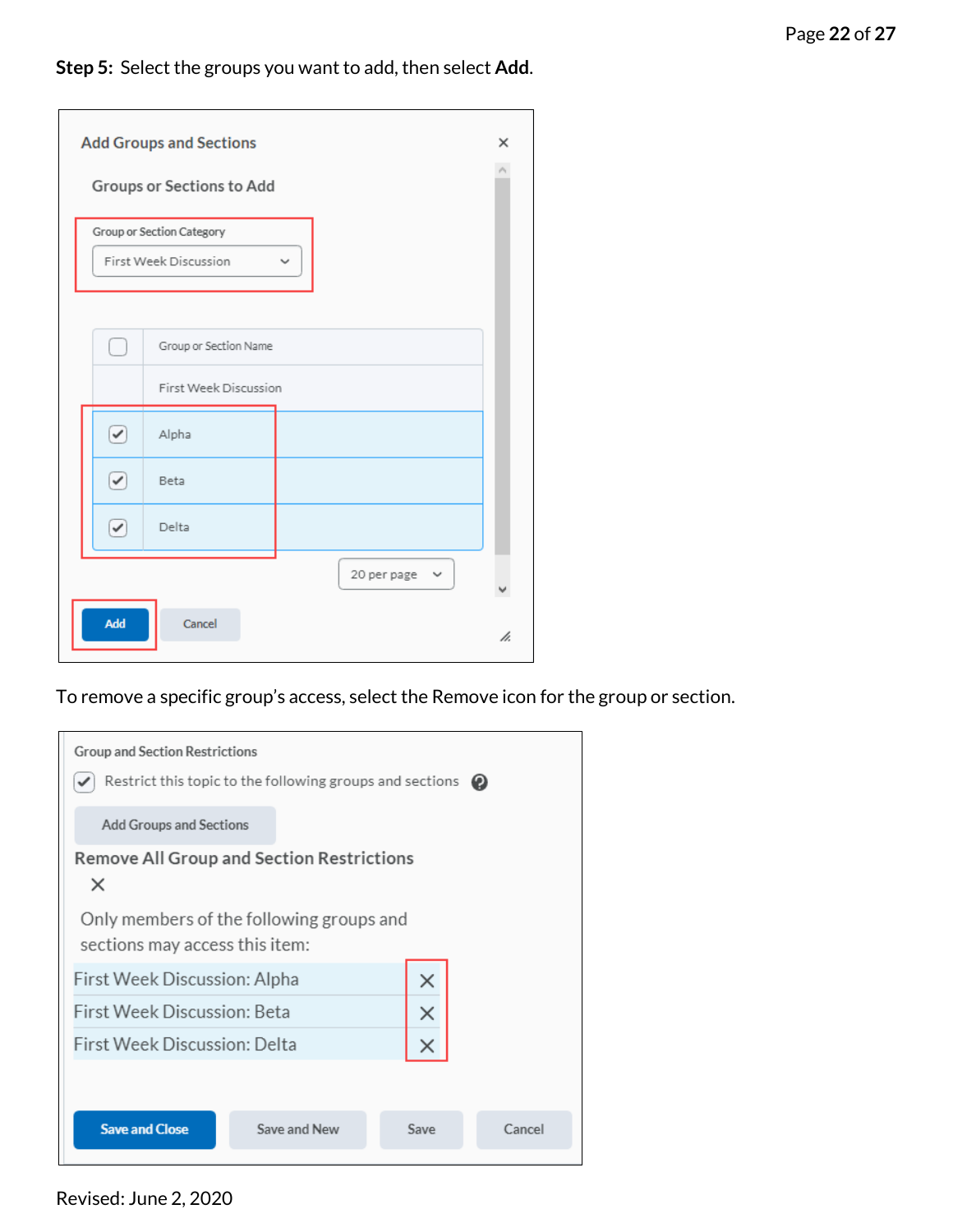**Step 5:** Select the groups you want to add, then select **Add**.

|     | <b>Add Groups and Sections</b> |              |             |              | ×  |
|-----|--------------------------------|--------------|-------------|--------------|----|
|     | Groups or Sections to Add      |              |             |              |    |
|     | Group or Section Category      |              |             |              |    |
|     | First Week Discussion          | $\checkmark$ |             |              |    |
|     |                                |              |             |              |    |
|     | Group or Section Name          |              |             |              |    |
|     | First Week Discussion          |              |             |              |    |
| ✓   | Alpha                          |              |             |              |    |
| ✓   | Beta                           |              |             |              |    |
| ✓   | Delta                          |              |             |              |    |
|     |                                |              | 20 per page | $\checkmark$ |    |
| Add | Cancel                         |              |             |              | ħ. |

To remove a specific group's access, select the Remove icon for the group or section.



#### Revised: June 2, 2020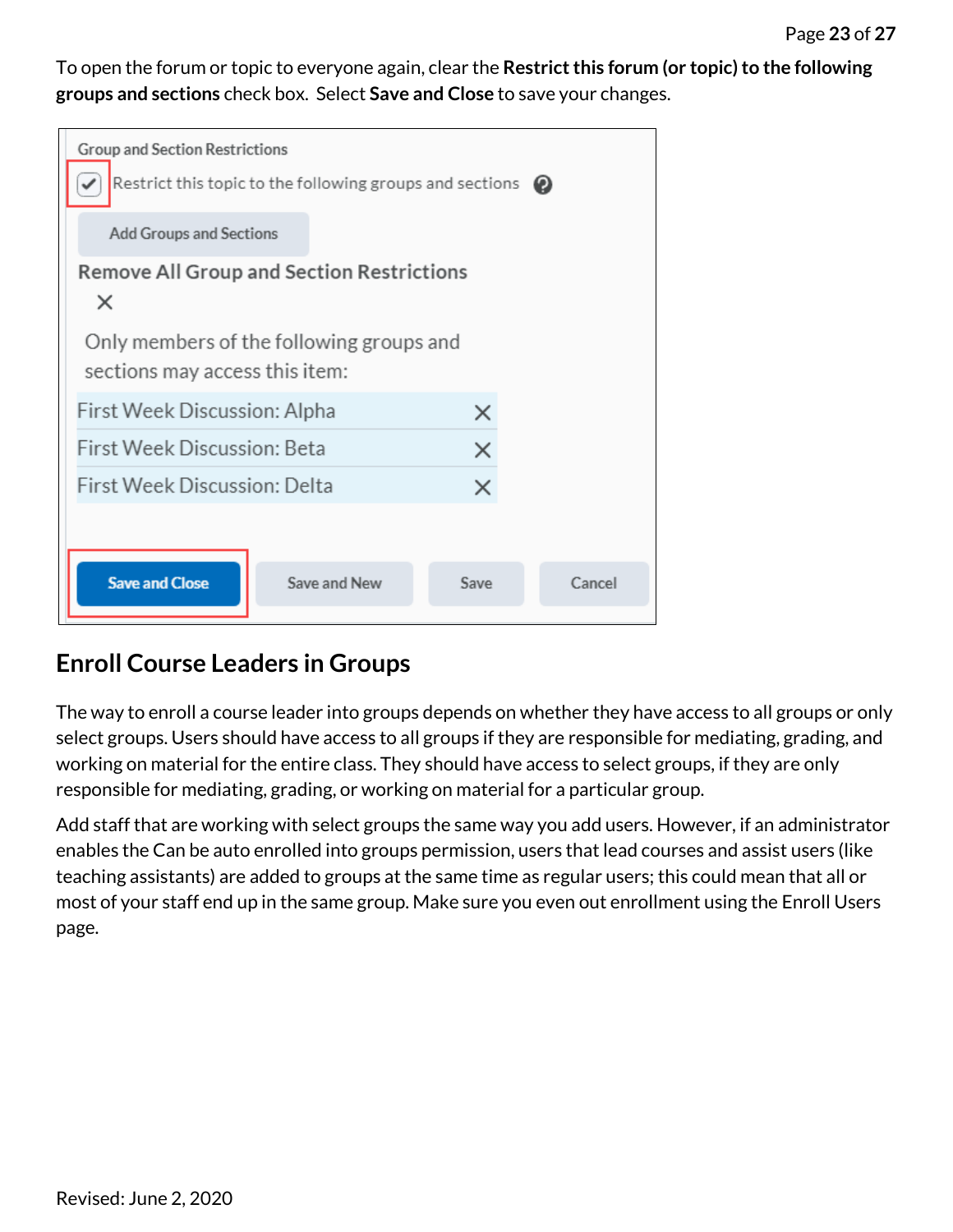To open the forum or topic to everyone again, clear the **Restrict this forum (or topic) to the following groups and sections** check box. Select **Save and Close** to save your changes.

| <b>Group and Section Restrictions</b>                                      | Restrict this topic to the following groups and sections |      | $\boldsymbol{\Omega}$ |
|----------------------------------------------------------------------------|----------------------------------------------------------|------|-----------------------|
| <b>Add Groups and Sections</b>                                             |                                                          |      |                       |
| <b>Remove All Group and Section Restrictions</b><br>X                      |                                                          |      |                       |
| Only members of the following groups and<br>sections may access this item: |                                                          |      |                       |
| First Week Discussion: Alpha                                               |                                                          | X    |                       |
| First Week Discussion: Beta                                                |                                                          | X    |                       |
| First Week Discussion: Delta                                               |                                                          | X    |                       |
|                                                                            |                                                          |      |                       |
| <b>Save and Close</b>                                                      | Save and New                                             | Save | Cancel                |

### <span id="page-22-0"></span>**Enroll Course Leaders in Groups**

The way to enroll a course leader into groups depends on whether they have access to all groups or only select groups. Users should have access to all groups if they are responsible for mediating, grading, and working on material for the entire class. They should have access to select groups, if they are only responsible for mediating, grading, or working on material for a particular group.

Add staff that are working with select groups the same way you add users. However, if an administrator enables the Can be auto enrolled into groups permission, users that lead courses and assist users (like teaching assistants) are added to groups at the same time as regular users; this could mean that all or most of your staff end up in the same group. Make sure you even out enrollment using the Enroll Users page.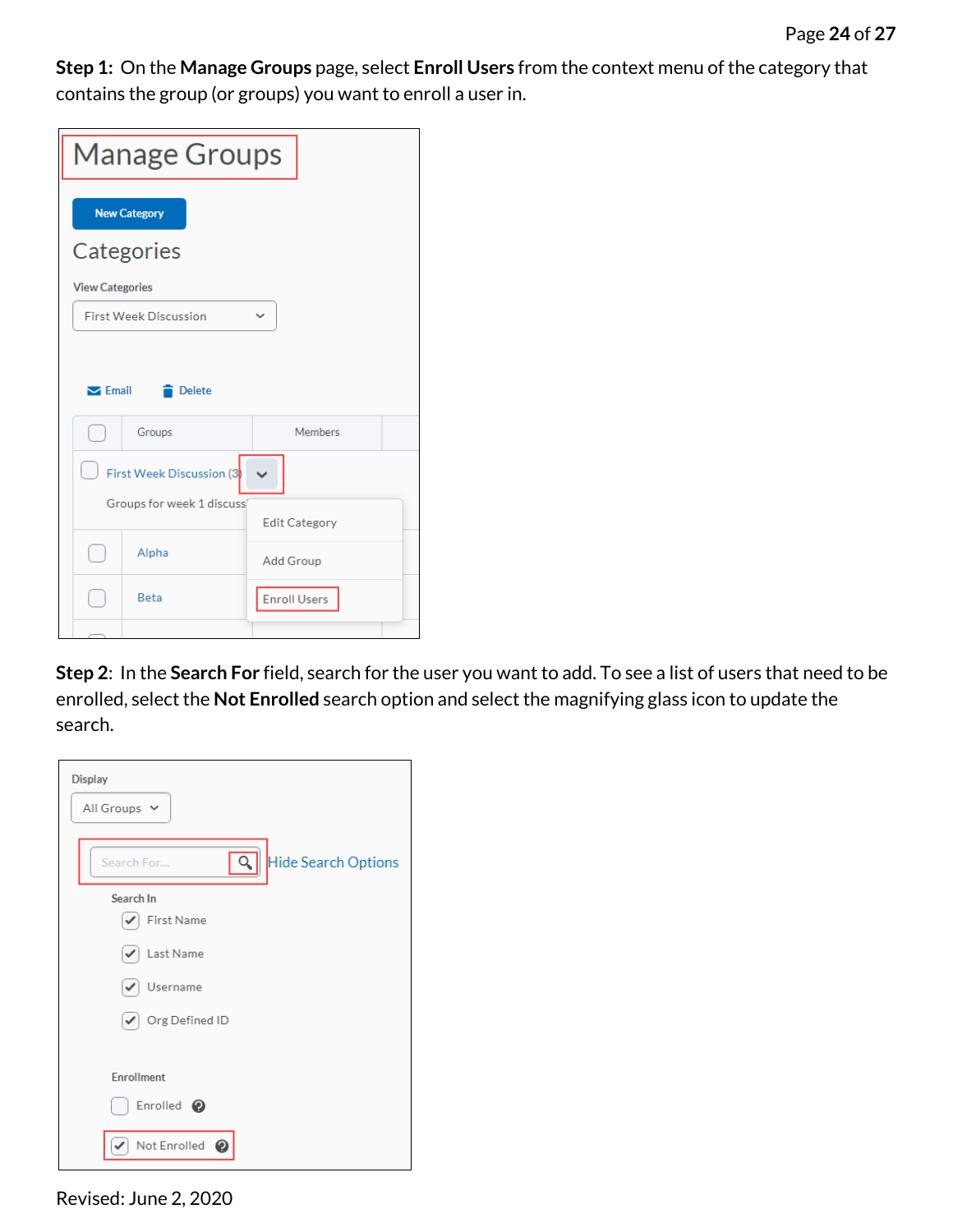**Step 1:** On the **Manage Groups** page, select **Enroll Users** from the context menu of the category that contains the group (or groups) you want to enroll a user in.

| <b>Manage Groups</b>                              |                     |  |  |  |  |  |
|---------------------------------------------------|---------------------|--|--|--|--|--|
| <b>New Category</b>                               |                     |  |  |  |  |  |
| Categories                                        |                     |  |  |  |  |  |
| <b>View Categories</b>                            |                     |  |  |  |  |  |
| <b>First Week Discussion</b><br>$\check{ }$       |                     |  |  |  |  |  |
|                                                   |                     |  |  |  |  |  |
| $\blacktriangleright$ Email<br><b>Delete</b>      |                     |  |  |  |  |  |
| Groups                                            | <b>Members</b>      |  |  |  |  |  |
| First Week Discussion (3)                         |                     |  |  |  |  |  |
| Groups for week 1 discuss<br><b>Edit Category</b> |                     |  |  |  |  |  |
| Alpha                                             | <b>Add Group</b>    |  |  |  |  |  |
| Beta                                              | <b>Enroll Users</b> |  |  |  |  |  |
|                                                   |                     |  |  |  |  |  |

**Step 2**: In the **Search For** field, search for the user you want to add. To see a list of users that need to be enrolled, select the **Not Enrolled** search option and select the magnifying glass icon to update the search.

| Display<br>All Groups $\vee$             |
|------------------------------------------|
| <b>Hide Search Options</b><br>Search For |
| Search In                                |
| First Name                               |
| Last Name<br>✓                           |
| Username<br>✓                            |
| Org Defined ID<br>✓                      |
|                                          |
| Enrollment                               |
| Enrolled <sup>O</sup>                    |
| Not Enrolled @                           |

Revised: June 2, 2020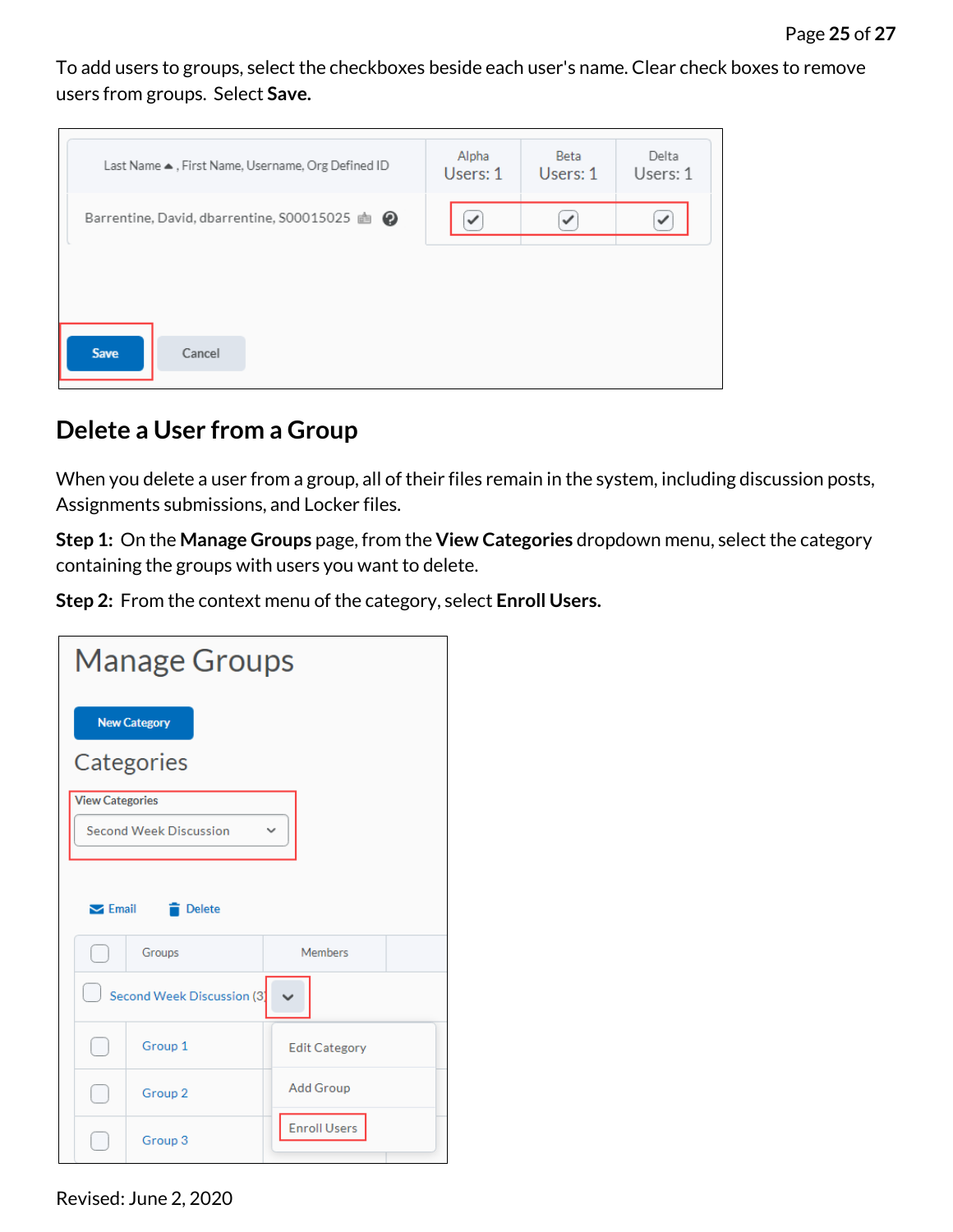To add users to groups, select the checkboxes beside each user's name. Clear check boxes to remove users from groups. Select **Save.**

| Last Name . First Name, Username, Org Defined ID      | Alpha<br>Users: 1 | Beta<br>Users: 1 | Delta<br>Users: 1 |
|-------------------------------------------------------|-------------------|------------------|-------------------|
| Barrentine, David, dbarrentine, S00015025 d $\bullet$ | ✓                 |                  |                   |
|                                                       |                   |                  |                   |
| Cancel<br><b>Save</b>                                 |                   |                  |                   |

### <span id="page-24-0"></span>**Delete a User from a Group**

When you delete a user from a group, all of their files remain in the system, including discussion posts, Assignments submissions, and Locker files.

**Step 1:** On the **Manage Groups** page, from the **View Categories** dropdown menu, select the category containing the groups with users you want to delete.

**Step 2:** From the context menu of the category, select **Enroll Users.**

|                                              | <b>Manage Groups</b>          |                            |                      |  |  |  |  |  |
|----------------------------------------------|-------------------------------|----------------------------|----------------------|--|--|--|--|--|
|                                              | <b>New Category</b>           |                            |                      |  |  |  |  |  |
|                                              | Categories                    |                            |                      |  |  |  |  |  |
|                                              | <b>View Categories</b>        |                            |                      |  |  |  |  |  |
|                                              | <b>Second Week Discussion</b> |                            |                      |  |  |  |  |  |
|                                              |                               |                            |                      |  |  |  |  |  |
| $\blacktriangleright$ Email<br><b>Delete</b> |                               |                            |                      |  |  |  |  |  |
|                                              |                               | <b>Members</b>             |                      |  |  |  |  |  |
|                                              |                               | Second Week Discussion (3) |                      |  |  |  |  |  |
|                                              |                               | Group 1                    | <b>Edit Category</b> |  |  |  |  |  |
|                                              |                               | Group <sub>2</sub>         | Add Group            |  |  |  |  |  |
|                                              |                               | Group 3                    | <b>Enroll Users</b>  |  |  |  |  |  |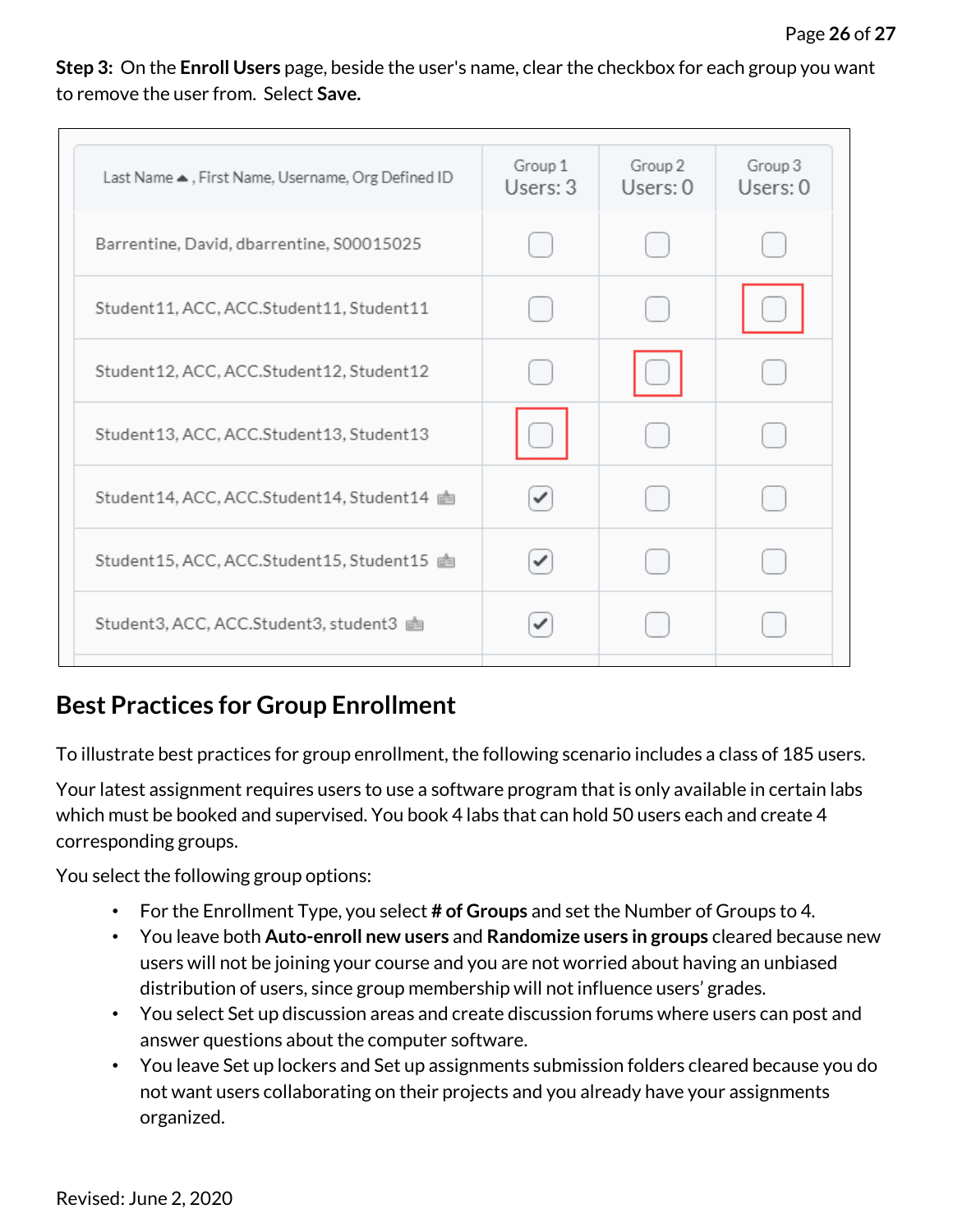#### **Step 3:** On the **Enroll Users** page, beside the user's name, clear the checkbox for each group you want to remove the user from. Select **Save.**

| Last Name . First Name, Username, Org Defined ID | Group 1<br>Users: 3 | Group 2<br>Users: $0$ | Group 3<br>Users: $0$ |
|--------------------------------------------------|---------------------|-----------------------|-----------------------|
| Barrentine, David, dbarrentine, S00015025        |                     |                       |                       |
| Student11, ACC, ACC.Student11, Student11         |                     |                       |                       |
| Student12, ACC, ACC.Student12, Student12         |                     |                       |                       |
| Student 13, ACC, ACC.Student 13, Student 13      |                     |                       |                       |
| Student14, ACC, ACC.Student14, Student14 a       |                     |                       |                       |
| Student 15, ACC, ACC.Student 15, Student 15 m    |                     |                       |                       |
| Student3, ACC, ACC.Student3, student3 a          |                     |                       |                       |

### <span id="page-25-0"></span>**Best Practices for Group Enrollment**

To illustrate best practices for group enrollment, the following scenario includes a class of 185 users.

Your latest assignment requires users to use a software program that is only available in certain labs which must be booked and supervised. You book 4 labs that can hold 50 users each and create 4 corresponding groups.

You select the following group options:

- For the Enrollment Type, you select **# of Groups** and set the Number of Groups to 4.
- You leave both **Auto-enroll new users** and **Randomize users in groups** cleared because new users will not be joining your course and you are not worried about having an unbiased distribution of users, since group membership will not influence users' grades.
- You select Set up discussion areas and create discussion forums where users can post and answer questions about the computer software.
- You leave Set up lockers and Set up assignments submission folders cleared because you do not want users collaborating on their projects and you already have your assignments organized.